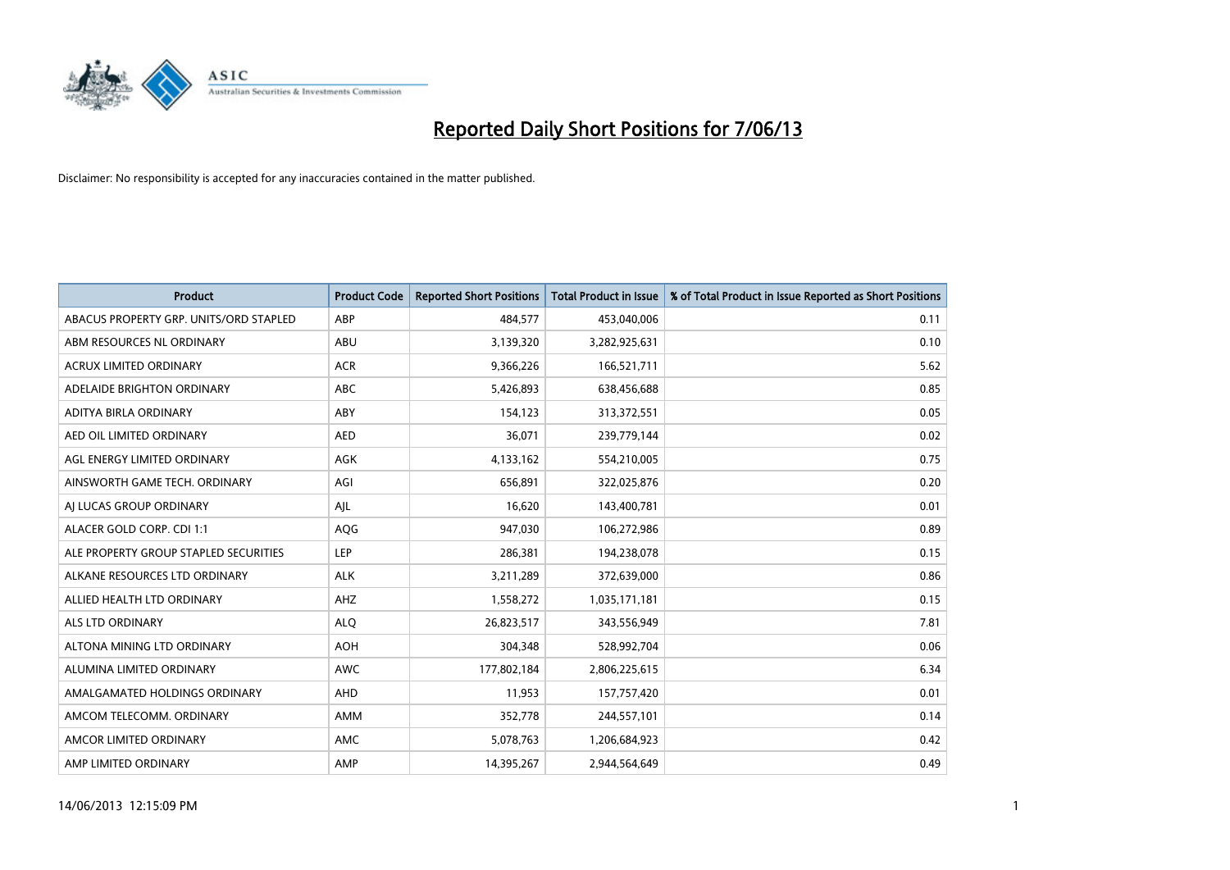

| <b>Product</b>                         | <b>Product Code</b> | <b>Reported Short Positions</b> | <b>Total Product in Issue</b> | % of Total Product in Issue Reported as Short Positions |
|----------------------------------------|---------------------|---------------------------------|-------------------------------|---------------------------------------------------------|
| ABACUS PROPERTY GRP. UNITS/ORD STAPLED | ABP                 | 484,577                         | 453,040,006                   | 0.11                                                    |
| ABM RESOURCES NL ORDINARY              | ABU                 | 3,139,320                       | 3,282,925,631                 | 0.10                                                    |
| <b>ACRUX LIMITED ORDINARY</b>          | <b>ACR</b>          | 9,366,226                       | 166,521,711                   | 5.62                                                    |
| ADELAIDE BRIGHTON ORDINARY             | <b>ABC</b>          | 5,426,893                       | 638,456,688                   | 0.85                                                    |
| ADITYA BIRLA ORDINARY                  | ABY                 | 154,123                         | 313,372,551                   | 0.05                                                    |
| AED OIL LIMITED ORDINARY               | <b>AED</b>          | 36,071                          | 239,779,144                   | 0.02                                                    |
| AGL ENERGY LIMITED ORDINARY            | AGK                 | 4,133,162                       | 554,210,005                   | 0.75                                                    |
| AINSWORTH GAME TECH. ORDINARY          | AGI                 | 656,891                         | 322,025,876                   | 0.20                                                    |
| AI LUCAS GROUP ORDINARY                | AJL                 | 16,620                          | 143,400,781                   | 0.01                                                    |
| ALACER GOLD CORP. CDI 1:1              | AQG                 | 947,030                         | 106,272,986                   | 0.89                                                    |
| ALE PROPERTY GROUP STAPLED SECURITIES  | <b>LEP</b>          | 286,381                         | 194,238,078                   | 0.15                                                    |
| ALKANE RESOURCES LTD ORDINARY          | <b>ALK</b>          | 3,211,289                       | 372,639,000                   | 0.86                                                    |
| ALLIED HEALTH LTD ORDINARY             | AHZ                 | 1,558,272                       | 1,035,171,181                 | 0.15                                                    |
| ALS LTD ORDINARY                       | <b>ALO</b>          | 26,823,517                      | 343,556,949                   | 7.81                                                    |
| ALTONA MINING LTD ORDINARY             | <b>AOH</b>          | 304,348                         | 528,992,704                   | 0.06                                                    |
| ALUMINA LIMITED ORDINARY               | <b>AWC</b>          | 177,802,184                     | 2,806,225,615                 | 6.34                                                    |
| AMALGAMATED HOLDINGS ORDINARY          | AHD                 | 11,953                          | 157,757,420                   | 0.01                                                    |
| AMCOM TELECOMM, ORDINARY               | AMM                 | 352,778                         | 244,557,101                   | 0.14                                                    |
| AMCOR LIMITED ORDINARY                 | AMC                 | 5,078,763                       | 1,206,684,923                 | 0.42                                                    |
| AMP LIMITED ORDINARY                   | AMP                 | 14,395,267                      | 2,944,564,649                 | 0.49                                                    |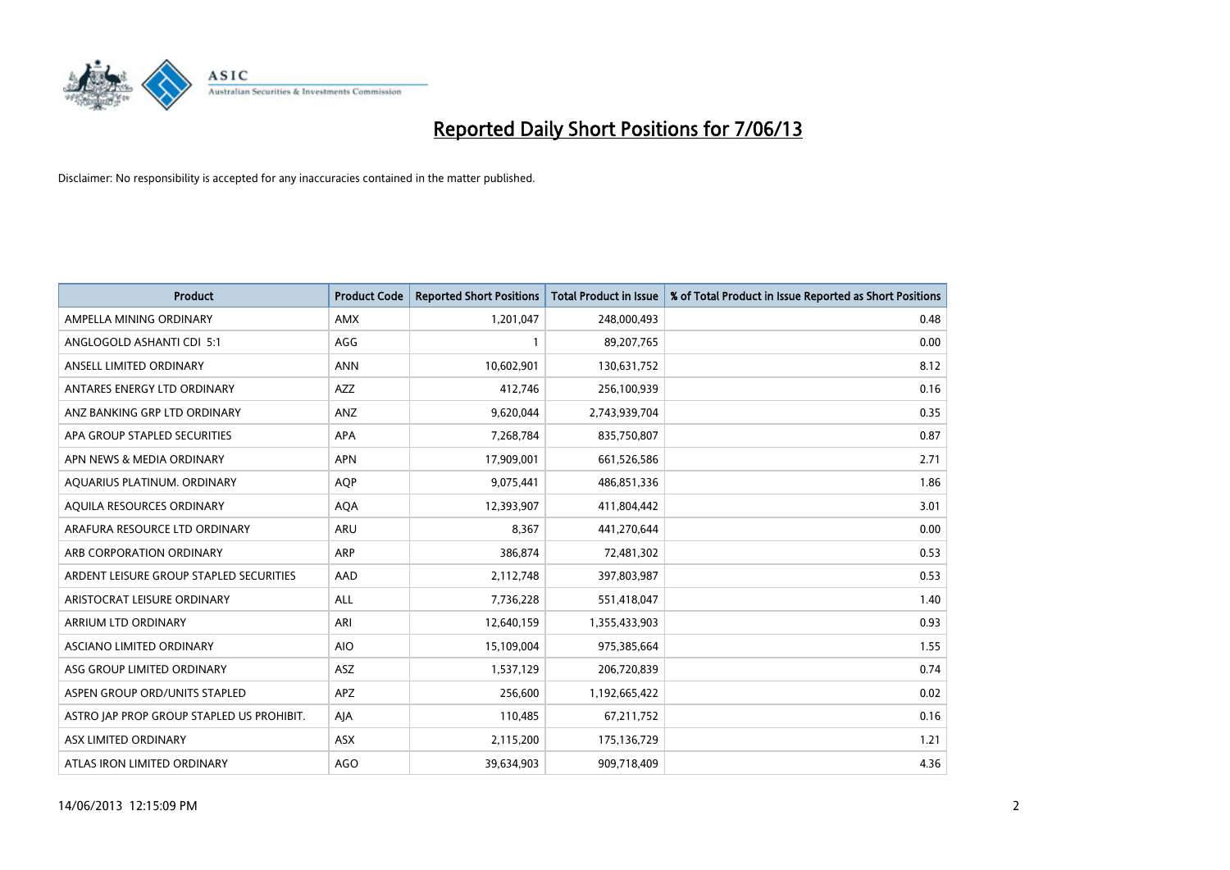

| <b>Product</b>                            | <b>Product Code</b> | <b>Reported Short Positions</b> | <b>Total Product in Issue</b> | % of Total Product in Issue Reported as Short Positions |
|-------------------------------------------|---------------------|---------------------------------|-------------------------------|---------------------------------------------------------|
| AMPELLA MINING ORDINARY                   | <b>AMX</b>          | 1,201,047                       | 248,000,493                   | 0.48                                                    |
| ANGLOGOLD ASHANTI CDI 5:1                 | AGG                 | 1                               | 89,207,765                    | 0.00                                                    |
| ANSELL LIMITED ORDINARY                   | <b>ANN</b>          | 10,602,901                      | 130,631,752                   | 8.12                                                    |
| ANTARES ENERGY LTD ORDINARY               | AZZ                 | 412,746                         | 256,100,939                   | 0.16                                                    |
| ANZ BANKING GRP LTD ORDINARY              | ANZ                 | 9,620,044                       | 2,743,939,704                 | 0.35                                                    |
| APA GROUP STAPLED SECURITIES              | <b>APA</b>          | 7,268,784                       | 835,750,807                   | 0.87                                                    |
| APN NEWS & MEDIA ORDINARY                 | <b>APN</b>          | 17,909,001                      | 661,526,586                   | 2.71                                                    |
| AQUARIUS PLATINUM. ORDINARY               | <b>AOP</b>          | 9,075,441                       | 486,851,336                   | 1.86                                                    |
| AQUILA RESOURCES ORDINARY                 | <b>AQA</b>          | 12,393,907                      | 411,804,442                   | 3.01                                                    |
| ARAFURA RESOURCE LTD ORDINARY             | <b>ARU</b>          | 8,367                           | 441,270,644                   | 0.00                                                    |
| ARB CORPORATION ORDINARY                  | <b>ARP</b>          | 386,874                         | 72,481,302                    | 0.53                                                    |
| ARDENT LEISURE GROUP STAPLED SECURITIES   | AAD                 | 2,112,748                       | 397,803,987                   | 0.53                                                    |
| ARISTOCRAT LEISURE ORDINARY               | <b>ALL</b>          | 7,736,228                       | 551,418,047                   | 1.40                                                    |
| ARRIUM LTD ORDINARY                       | ARI                 | 12,640,159                      | 1,355,433,903                 | 0.93                                                    |
| ASCIANO LIMITED ORDINARY                  | <b>AIO</b>          | 15,109,004                      | 975,385,664                   | 1.55                                                    |
| ASG GROUP LIMITED ORDINARY                | ASZ                 | 1,537,129                       | 206,720,839                   | 0.74                                                    |
| ASPEN GROUP ORD/UNITS STAPLED             | APZ                 | 256,600                         | 1,192,665,422                 | 0.02                                                    |
| ASTRO JAP PROP GROUP STAPLED US PROHIBIT. | AJA                 | 110,485                         | 67,211,752                    | 0.16                                                    |
| ASX LIMITED ORDINARY                      | ASX                 | 2,115,200                       | 175,136,729                   | 1.21                                                    |
| ATLAS IRON LIMITED ORDINARY               | <b>AGO</b>          | 39,634,903                      | 909,718,409                   | 4.36                                                    |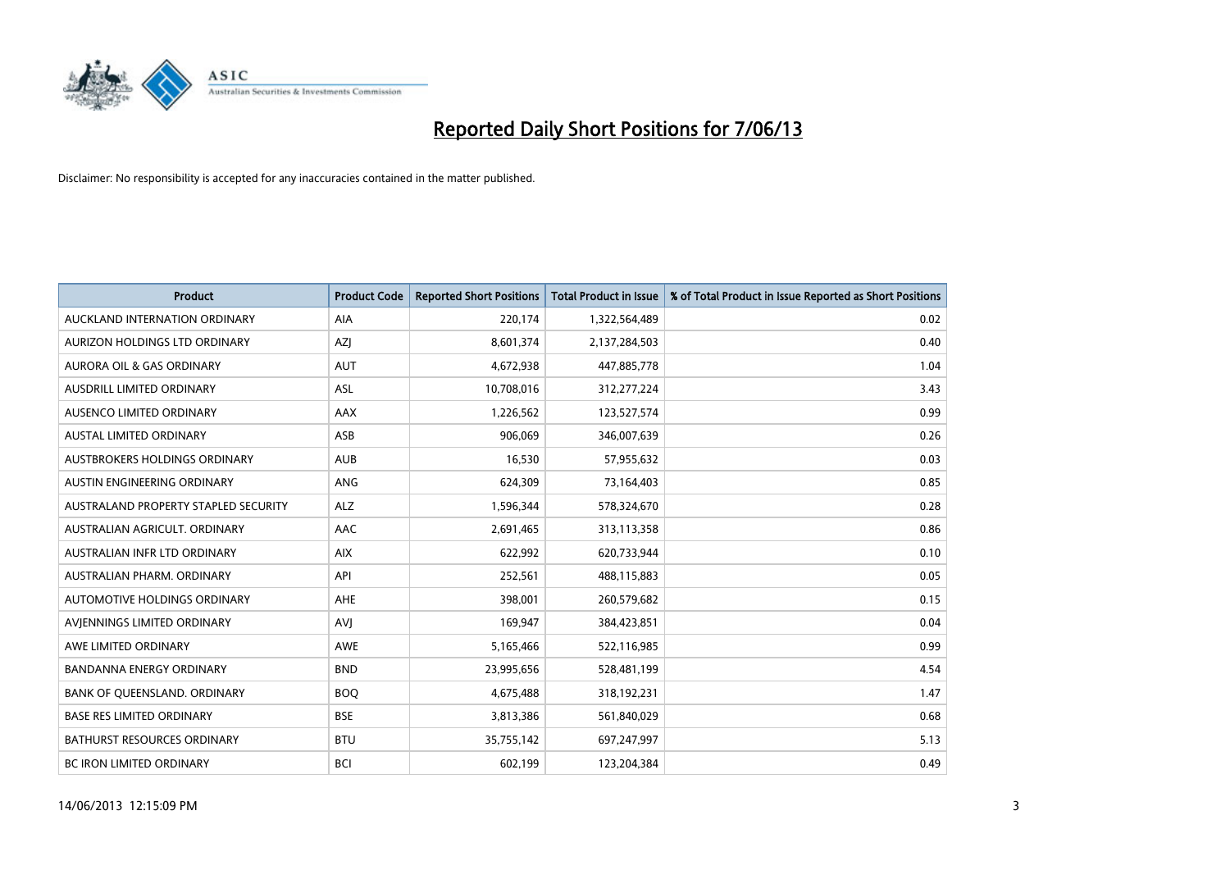

| <b>Product</b>                       | <b>Product Code</b> | <b>Reported Short Positions</b> | <b>Total Product in Issue</b> | % of Total Product in Issue Reported as Short Positions |
|--------------------------------------|---------------------|---------------------------------|-------------------------------|---------------------------------------------------------|
| AUCKLAND INTERNATION ORDINARY        | AIA                 | 220,174                         | 1,322,564,489                 | 0.02                                                    |
| AURIZON HOLDINGS LTD ORDINARY        | AZJ                 | 8,601,374                       | 2,137,284,503                 | 0.40                                                    |
| <b>AURORA OIL &amp; GAS ORDINARY</b> | <b>AUT</b>          | 4,672,938                       | 447,885,778                   | 1.04                                                    |
| AUSDRILL LIMITED ORDINARY            | <b>ASL</b>          | 10,708,016                      | 312,277,224                   | 3.43                                                    |
| AUSENCO LIMITED ORDINARY             | AAX                 | 1,226,562                       | 123,527,574                   | 0.99                                                    |
| <b>AUSTAL LIMITED ORDINARY</b>       | ASB                 | 906,069                         | 346,007,639                   | 0.26                                                    |
| AUSTBROKERS HOLDINGS ORDINARY        | <b>AUB</b>          | 16,530                          | 57,955,632                    | 0.03                                                    |
| <b>AUSTIN ENGINEERING ORDINARY</b>   | ANG                 | 624,309                         | 73,164,403                    | 0.85                                                    |
| AUSTRALAND PROPERTY STAPLED SECURITY | <b>ALZ</b>          | 1,596,344                       | 578,324,670                   | 0.28                                                    |
| AUSTRALIAN AGRICULT, ORDINARY        | AAC                 | 2,691,465                       | 313,113,358                   | 0.86                                                    |
| AUSTRALIAN INFR LTD ORDINARY         | <b>AIX</b>          | 622,992                         | 620,733,944                   | 0.10                                                    |
| AUSTRALIAN PHARM, ORDINARY           | API                 | 252,561                         | 488,115,883                   | 0.05                                                    |
| AUTOMOTIVE HOLDINGS ORDINARY         | <b>AHE</b>          | 398,001                         | 260,579,682                   | 0.15                                                    |
| AVIENNINGS LIMITED ORDINARY          | <b>AVJ</b>          | 169,947                         | 384,423,851                   | 0.04                                                    |
| AWE LIMITED ORDINARY                 | AWE                 | 5,165,466                       | 522,116,985                   | 0.99                                                    |
| <b>BANDANNA ENERGY ORDINARY</b>      | <b>BND</b>          | 23,995,656                      | 528,481,199                   | 4.54                                                    |
| BANK OF QUEENSLAND. ORDINARY         | <b>BOO</b>          | 4,675,488                       | 318,192,231                   | 1.47                                                    |
| <b>BASE RES LIMITED ORDINARY</b>     | <b>BSE</b>          | 3,813,386                       | 561,840,029                   | 0.68                                                    |
| <b>BATHURST RESOURCES ORDINARY</b>   | <b>BTU</b>          | 35,755,142                      | 697,247,997                   | 5.13                                                    |
| <b>BC IRON LIMITED ORDINARY</b>      | <b>BCI</b>          | 602,199                         | 123,204,384                   | 0.49                                                    |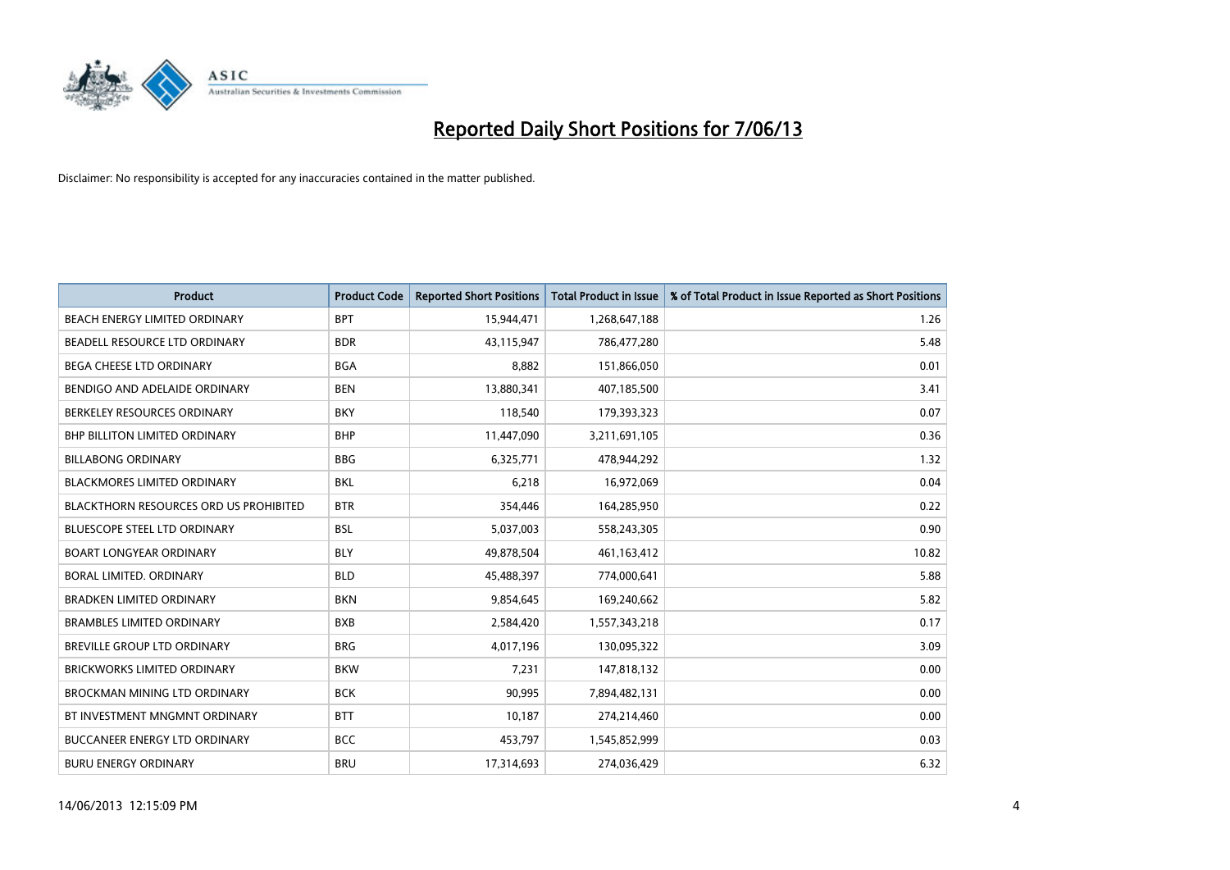

| <b>Product</b>                                | <b>Product Code</b> | <b>Reported Short Positions</b> | <b>Total Product in Issue</b> | % of Total Product in Issue Reported as Short Positions |
|-----------------------------------------------|---------------------|---------------------------------|-------------------------------|---------------------------------------------------------|
| BEACH ENERGY LIMITED ORDINARY                 | <b>BPT</b>          | 15,944,471                      | 1,268,647,188                 | 1.26                                                    |
| BEADELL RESOURCE LTD ORDINARY                 | <b>BDR</b>          | 43,115,947                      | 786,477,280                   | 5.48                                                    |
| BEGA CHEESE LTD ORDINARY                      | <b>BGA</b>          | 8,882                           | 151,866,050                   | 0.01                                                    |
| BENDIGO AND ADELAIDE ORDINARY                 | <b>BEN</b>          | 13,880,341                      | 407,185,500                   | 3.41                                                    |
| BERKELEY RESOURCES ORDINARY                   | <b>BKY</b>          | 118,540                         | 179,393,323                   | 0.07                                                    |
| BHP BILLITON LIMITED ORDINARY                 | <b>BHP</b>          | 11,447,090                      | 3,211,691,105                 | 0.36                                                    |
| <b>BILLABONG ORDINARY</b>                     | <b>BBG</b>          | 6,325,771                       | 478,944,292                   | 1.32                                                    |
| BLACKMORES LIMITED ORDINARY                   | <b>BKL</b>          | 6,218                           | 16,972,069                    | 0.04                                                    |
| <b>BLACKTHORN RESOURCES ORD US PROHIBITED</b> | <b>BTR</b>          | 354,446                         | 164,285,950                   | 0.22                                                    |
| <b>BLUESCOPE STEEL LTD ORDINARY</b>           | <b>BSL</b>          | 5,037,003                       | 558,243,305                   | 0.90                                                    |
| <b>BOART LONGYEAR ORDINARY</b>                | <b>BLY</b>          | 49,878,504                      | 461,163,412                   | 10.82                                                   |
| <b>BORAL LIMITED, ORDINARY</b>                | <b>BLD</b>          | 45,488,397                      | 774,000,641                   | 5.88                                                    |
| <b>BRADKEN LIMITED ORDINARY</b>               | <b>BKN</b>          | 9,854,645                       | 169,240,662                   | 5.82                                                    |
| <b>BRAMBLES LIMITED ORDINARY</b>              | <b>BXB</b>          | 2,584,420                       | 1,557,343,218                 | 0.17                                                    |
| BREVILLE GROUP LTD ORDINARY                   | <b>BRG</b>          | 4,017,196                       | 130,095,322                   | 3.09                                                    |
| BRICKWORKS LIMITED ORDINARY                   | <b>BKW</b>          | 7,231                           | 147,818,132                   | 0.00                                                    |
| BROCKMAN MINING LTD ORDINARY                  | <b>BCK</b>          | 90,995                          | 7,894,482,131                 | 0.00                                                    |
| BT INVESTMENT MNGMNT ORDINARY                 | <b>BTT</b>          | 10,187                          | 274,214,460                   | 0.00                                                    |
| <b>BUCCANEER ENERGY LTD ORDINARY</b>          | <b>BCC</b>          | 453,797                         | 1,545,852,999                 | 0.03                                                    |
| <b>BURU ENERGY ORDINARY</b>                   | <b>BRU</b>          | 17,314,693                      | 274,036,429                   | 6.32                                                    |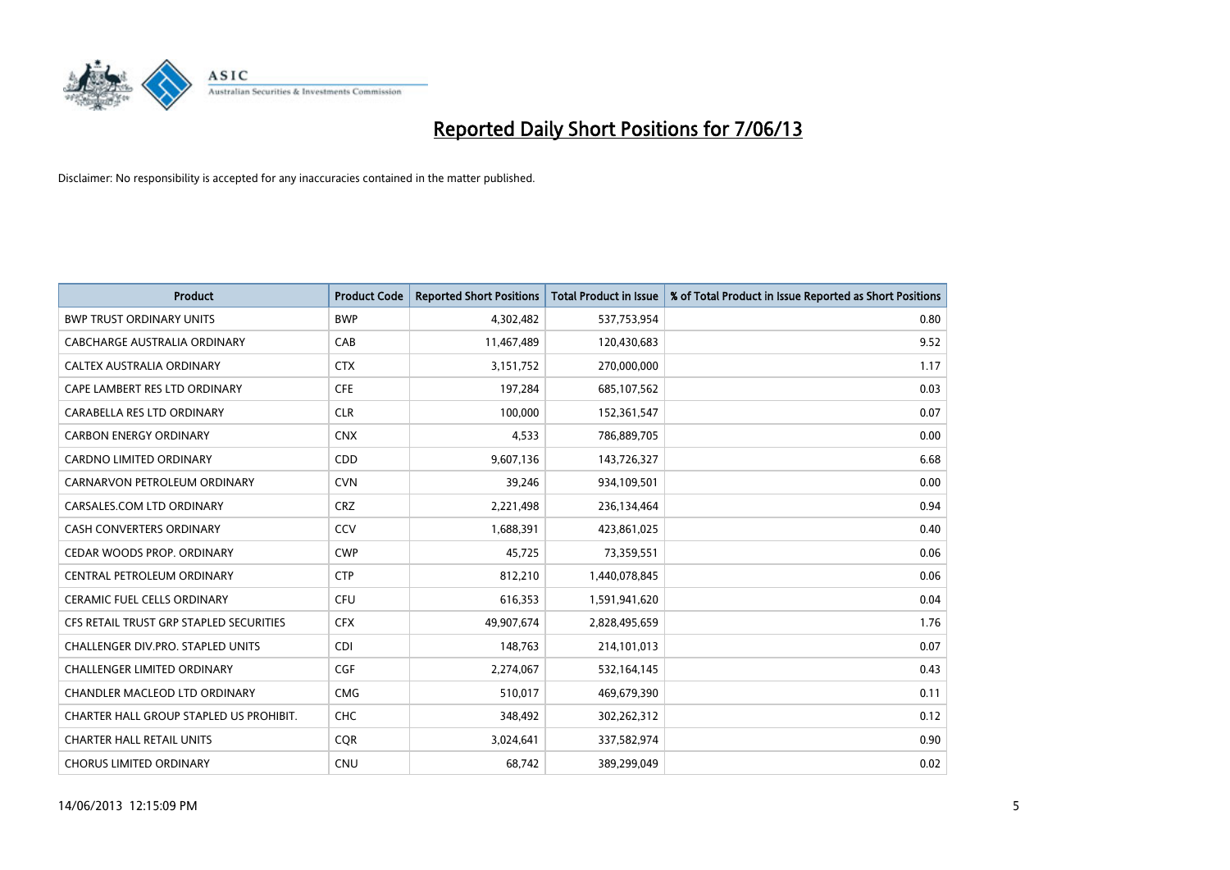

| <b>Product</b>                          | <b>Product Code</b> | <b>Reported Short Positions</b> | <b>Total Product in Issue</b> | % of Total Product in Issue Reported as Short Positions |
|-----------------------------------------|---------------------|---------------------------------|-------------------------------|---------------------------------------------------------|
| <b>BWP TRUST ORDINARY UNITS</b>         | <b>BWP</b>          | 4,302,482                       | 537,753,954                   | 0.80                                                    |
| CABCHARGE AUSTRALIA ORDINARY            | CAB                 | 11,467,489                      | 120,430,683                   | 9.52                                                    |
| <b>CALTEX AUSTRALIA ORDINARY</b>        | <b>CTX</b>          | 3,151,752                       | 270,000,000                   | 1.17                                                    |
| CAPE LAMBERT RES LTD ORDINARY           | <b>CFE</b>          | 197,284                         | 685,107,562                   | 0.03                                                    |
| CARABELLA RES LTD ORDINARY              | <b>CLR</b>          | 100,000                         | 152,361,547                   | 0.07                                                    |
| <b>CARBON ENERGY ORDINARY</b>           | <b>CNX</b>          | 4,533                           | 786,889,705                   | 0.00                                                    |
| <b>CARDNO LIMITED ORDINARY</b>          | CDD                 | 9,607,136                       | 143,726,327                   | 6.68                                                    |
| CARNARVON PETROLEUM ORDINARY            | <b>CVN</b>          | 39,246                          | 934,109,501                   | 0.00                                                    |
| CARSALES.COM LTD ORDINARY               | <b>CRZ</b>          | 2,221,498                       | 236,134,464                   | 0.94                                                    |
| <b>CASH CONVERTERS ORDINARY</b>         | CCV                 | 1,688,391                       | 423,861,025                   | 0.40                                                    |
| CEDAR WOODS PROP. ORDINARY              | <b>CWP</b>          | 45,725                          | 73,359,551                    | 0.06                                                    |
| CENTRAL PETROLEUM ORDINARY              | <b>CTP</b>          | 812,210                         | 1,440,078,845                 | 0.06                                                    |
| <b>CERAMIC FUEL CELLS ORDINARY</b>      | <b>CFU</b>          | 616,353                         | 1,591,941,620                 | 0.04                                                    |
| CFS RETAIL TRUST GRP STAPLED SECURITIES | <b>CFX</b>          | 49,907,674                      | 2,828,495,659                 | 1.76                                                    |
| CHALLENGER DIV.PRO. STAPLED UNITS       | <b>CDI</b>          | 148,763                         | 214,101,013                   | 0.07                                                    |
| CHALLENGER LIMITED ORDINARY             | <b>CGF</b>          | 2,274,067                       | 532,164,145                   | 0.43                                                    |
| CHANDLER MACLEOD LTD ORDINARY           | <b>CMG</b>          | 510,017                         | 469,679,390                   | 0.11                                                    |
| CHARTER HALL GROUP STAPLED US PROHIBIT. | <b>CHC</b>          | 348,492                         | 302,262,312                   | 0.12                                                    |
| <b>CHARTER HALL RETAIL UNITS</b>        | <b>COR</b>          | 3,024,641                       | 337,582,974                   | 0.90                                                    |
| <b>CHORUS LIMITED ORDINARY</b>          | <b>CNU</b>          | 68,742                          | 389,299,049                   | 0.02                                                    |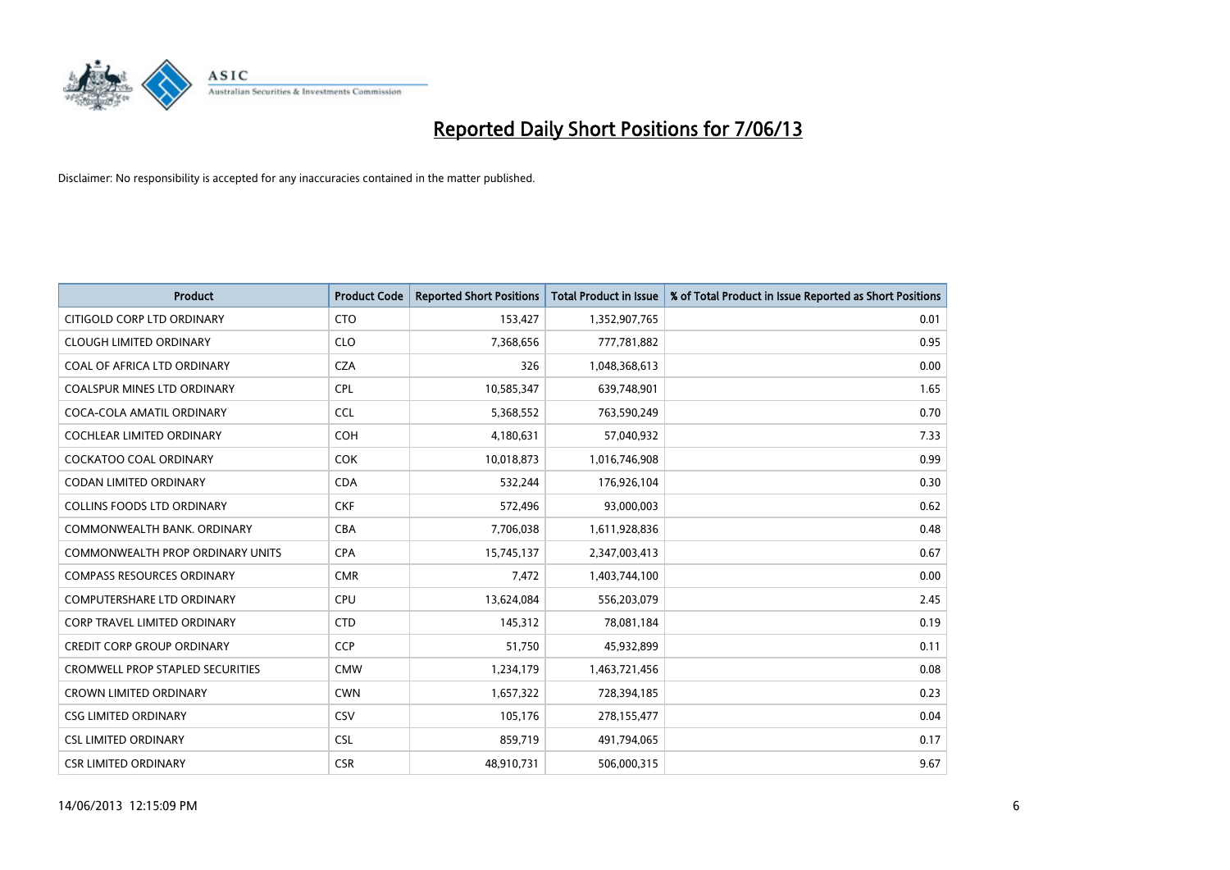

| <b>Product</b>                          | <b>Product Code</b> | <b>Reported Short Positions</b> | <b>Total Product in Issue</b> | % of Total Product in Issue Reported as Short Positions |
|-----------------------------------------|---------------------|---------------------------------|-------------------------------|---------------------------------------------------------|
| CITIGOLD CORP LTD ORDINARY              | <b>CTO</b>          | 153,427                         | 1,352,907,765                 | 0.01                                                    |
| <b>CLOUGH LIMITED ORDINARY</b>          | <b>CLO</b>          | 7,368,656                       | 777,781,882                   | 0.95                                                    |
| COAL OF AFRICA LTD ORDINARY             | <b>CZA</b>          | 326                             | 1,048,368,613                 | 0.00                                                    |
| COALSPUR MINES LTD ORDINARY             | <b>CPL</b>          | 10,585,347                      | 639,748,901                   | 1.65                                                    |
| COCA-COLA AMATIL ORDINARY               | <b>CCL</b>          | 5,368,552                       | 763,590,249                   | 0.70                                                    |
| <b>COCHLEAR LIMITED ORDINARY</b>        | <b>COH</b>          | 4,180,631                       | 57,040,932                    | 7.33                                                    |
| COCKATOO COAL ORDINARY                  | <b>COK</b>          | 10,018,873                      | 1,016,746,908                 | 0.99                                                    |
| CODAN LIMITED ORDINARY                  | <b>CDA</b>          | 532,244                         | 176,926,104                   | 0.30                                                    |
| <b>COLLINS FOODS LTD ORDINARY</b>       | <b>CKF</b>          | 572,496                         | 93,000,003                    | 0.62                                                    |
| COMMONWEALTH BANK, ORDINARY             | <b>CBA</b>          | 7,706,038                       | 1,611,928,836                 | 0.48                                                    |
| COMMONWEALTH PROP ORDINARY UNITS        | <b>CPA</b>          | 15,745,137                      | 2,347,003,413                 | 0.67                                                    |
| <b>COMPASS RESOURCES ORDINARY</b>       | <b>CMR</b>          | 7,472                           | 1,403,744,100                 | 0.00                                                    |
| COMPUTERSHARE LTD ORDINARY              | <b>CPU</b>          | 13,624,084                      | 556,203,079                   | 2.45                                                    |
| <b>CORP TRAVEL LIMITED ORDINARY</b>     | <b>CTD</b>          | 145,312                         | 78,081,184                    | 0.19                                                    |
| <b>CREDIT CORP GROUP ORDINARY</b>       | <b>CCP</b>          | 51,750                          | 45,932,899                    | 0.11                                                    |
| <b>CROMWELL PROP STAPLED SECURITIES</b> | <b>CMW</b>          | 1,234,179                       | 1,463,721,456                 | 0.08                                                    |
| <b>CROWN LIMITED ORDINARY</b>           | <b>CWN</b>          | 1,657,322                       | 728,394,185                   | 0.23                                                    |
| <b>CSG LIMITED ORDINARY</b>             | CSV                 | 105,176                         | 278,155,477                   | 0.04                                                    |
| <b>CSL LIMITED ORDINARY</b>             | <b>CSL</b>          | 859,719                         | 491,794,065                   | 0.17                                                    |
| <b>CSR LIMITED ORDINARY</b>             | <b>CSR</b>          | 48,910,731                      | 506,000,315                   | 9.67                                                    |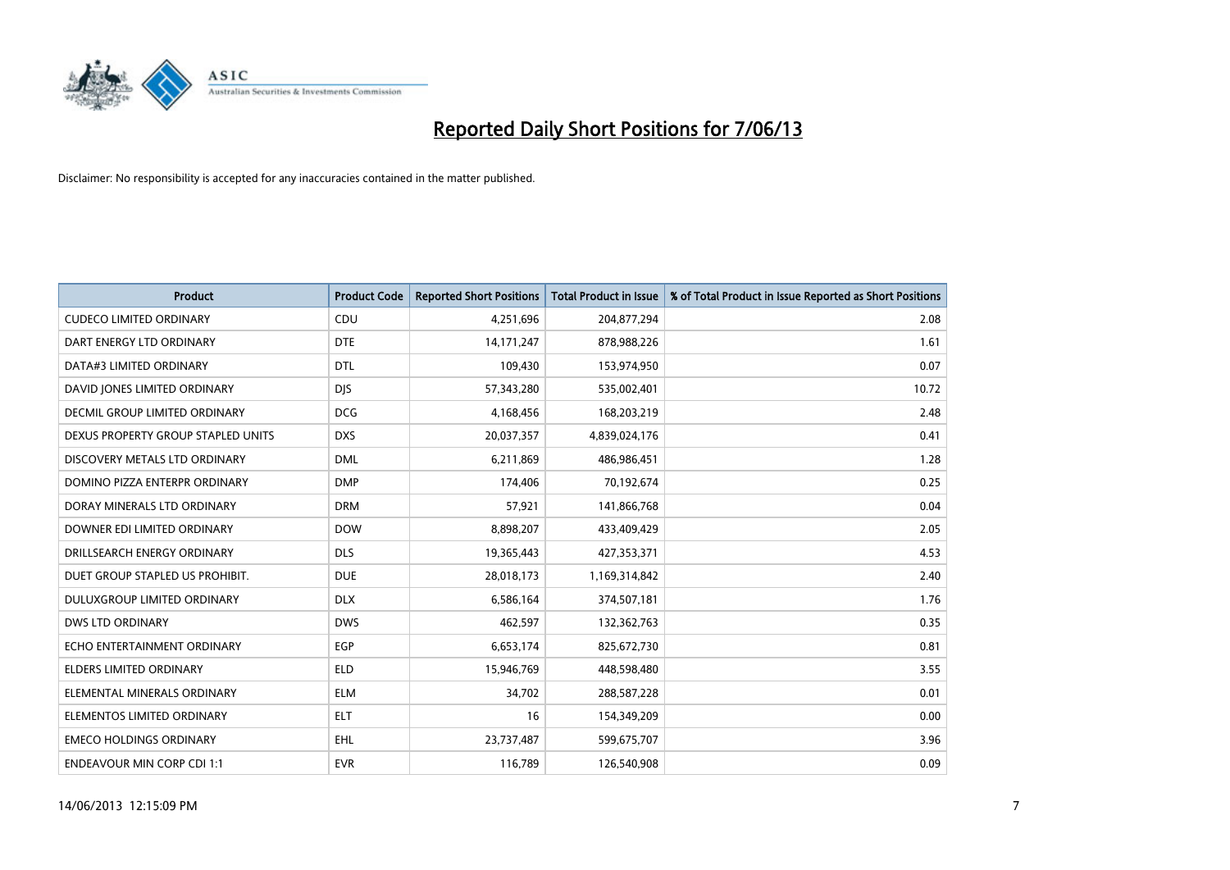

| <b>Product</b>                     | <b>Product Code</b> | <b>Reported Short Positions</b> | <b>Total Product in Issue</b> | % of Total Product in Issue Reported as Short Positions |
|------------------------------------|---------------------|---------------------------------|-------------------------------|---------------------------------------------------------|
| <b>CUDECO LIMITED ORDINARY</b>     | CDU                 | 4,251,696                       | 204,877,294                   | 2.08                                                    |
| DART ENERGY LTD ORDINARY           | <b>DTE</b>          | 14, 171, 247                    | 878,988,226                   | 1.61                                                    |
| DATA#3 LIMITED ORDINARY            | <b>DTL</b>          | 109,430                         | 153,974,950                   | 0.07                                                    |
| DAVID JONES LIMITED ORDINARY       | <b>DJS</b>          | 57,343,280                      | 535,002,401                   | 10.72                                                   |
| DECMIL GROUP LIMITED ORDINARY      | <b>DCG</b>          | 4,168,456                       | 168,203,219                   | 2.48                                                    |
| DEXUS PROPERTY GROUP STAPLED UNITS | <b>DXS</b>          | 20,037,357                      | 4,839,024,176                 | 0.41                                                    |
| DISCOVERY METALS LTD ORDINARY      | <b>DML</b>          | 6,211,869                       | 486,986,451                   | 1.28                                                    |
| DOMINO PIZZA ENTERPR ORDINARY      | <b>DMP</b>          | 174,406                         | 70,192,674                    | 0.25                                                    |
| DORAY MINERALS LTD ORDINARY        | <b>DRM</b>          | 57,921                          | 141,866,768                   | 0.04                                                    |
| DOWNER EDI LIMITED ORDINARY        | <b>DOW</b>          | 8,898,207                       | 433,409,429                   | 2.05                                                    |
| DRILLSEARCH ENERGY ORDINARY        | <b>DLS</b>          | 19,365,443                      | 427,353,371                   | 4.53                                                    |
| DUET GROUP STAPLED US PROHIBIT.    | <b>DUE</b>          | 28,018,173                      | 1,169,314,842                 | 2.40                                                    |
| DULUXGROUP LIMITED ORDINARY        | <b>DLX</b>          | 6,586,164                       | 374,507,181                   | 1.76                                                    |
| <b>DWS LTD ORDINARY</b>            | <b>DWS</b>          | 462,597                         | 132,362,763                   | 0.35                                                    |
| ECHO ENTERTAINMENT ORDINARY        | EGP                 | 6,653,174                       | 825,672,730                   | 0.81                                                    |
| ELDERS LIMITED ORDINARY            | <b>ELD</b>          | 15,946,769                      | 448,598,480                   | 3.55                                                    |
| ELEMENTAL MINERALS ORDINARY        | <b>ELM</b>          | 34,702                          | 288,587,228                   | 0.01                                                    |
| ELEMENTOS LIMITED ORDINARY         | <b>ELT</b>          | 16                              | 154,349,209                   | 0.00                                                    |
| <b>EMECO HOLDINGS ORDINARY</b>     | <b>EHL</b>          | 23,737,487                      | 599,675,707                   | 3.96                                                    |
| <b>ENDEAVOUR MIN CORP CDI 1:1</b>  | <b>EVR</b>          | 116,789                         | 126,540,908                   | 0.09                                                    |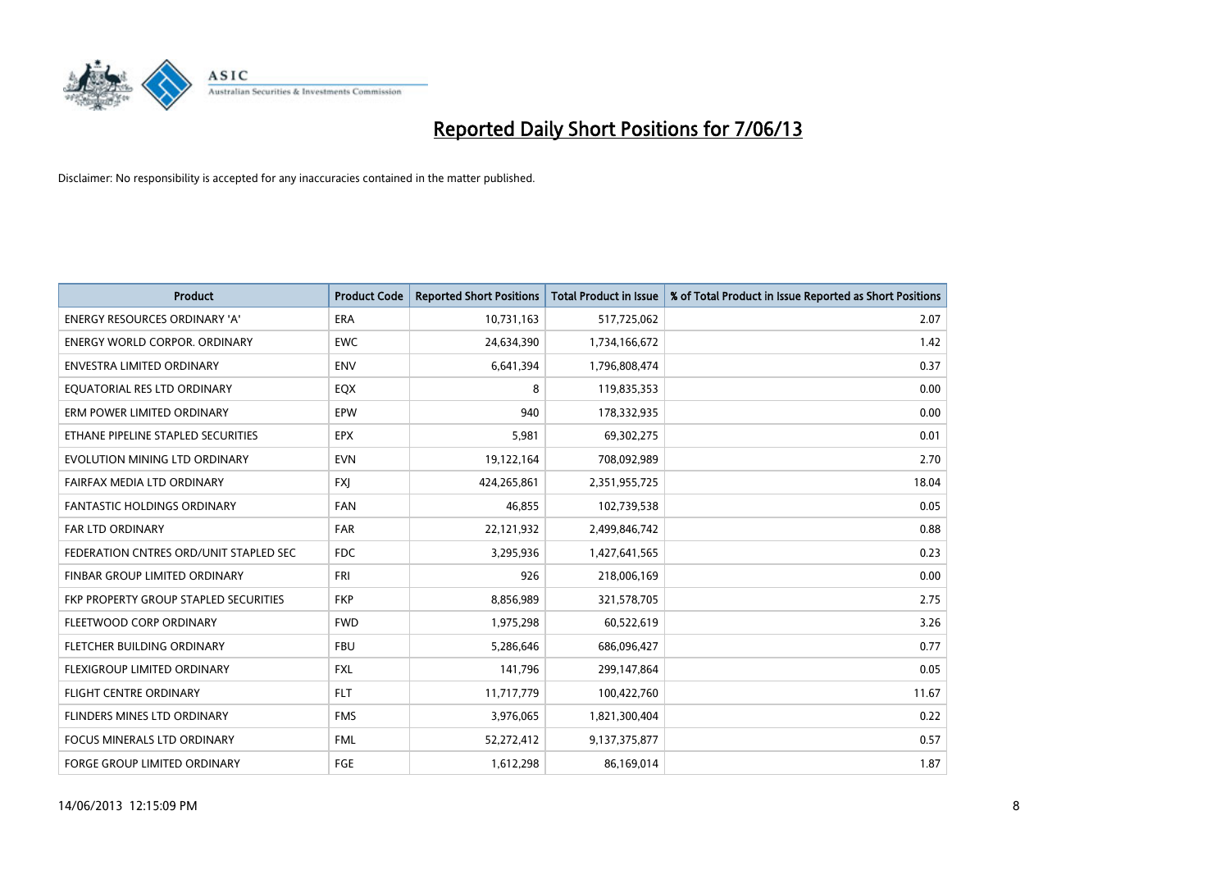

| <b>Product</b>                         | <b>Product Code</b> | <b>Reported Short Positions</b> | <b>Total Product in Issue</b> | % of Total Product in Issue Reported as Short Positions |
|----------------------------------------|---------------------|---------------------------------|-------------------------------|---------------------------------------------------------|
| <b>ENERGY RESOURCES ORDINARY 'A'</b>   | <b>ERA</b>          | 10,731,163                      | 517,725,062                   | 2.07                                                    |
| ENERGY WORLD CORPOR. ORDINARY          | <b>EWC</b>          | 24,634,390                      | 1,734,166,672                 | 1.42                                                    |
| <b>ENVESTRA LIMITED ORDINARY</b>       | <b>ENV</b>          | 6,641,394                       | 1,796,808,474                 | 0.37                                                    |
| EQUATORIAL RES LTD ORDINARY            | EQX                 | 8                               | 119,835,353                   | 0.00                                                    |
| ERM POWER LIMITED ORDINARY             | EPW                 | 940                             | 178,332,935                   | 0.00                                                    |
| ETHANE PIPELINE STAPLED SECURITIES     | <b>EPX</b>          | 5,981                           | 69,302,275                    | 0.01                                                    |
| EVOLUTION MINING LTD ORDINARY          | <b>EVN</b>          | 19,122,164                      | 708,092,989                   | 2.70                                                    |
| FAIRFAX MEDIA LTD ORDINARY             | FXJ                 | 424,265,861                     | 2,351,955,725                 | 18.04                                                   |
| FANTASTIC HOLDINGS ORDINARY            | <b>FAN</b>          | 46,855                          | 102,739,538                   | 0.05                                                    |
| <b>FAR LTD ORDINARY</b>                | <b>FAR</b>          | 22,121,932                      | 2,499,846,742                 | 0.88                                                    |
| FEDERATION CNTRES ORD/UNIT STAPLED SEC | <b>FDC</b>          | 3,295,936                       | 1,427,641,565                 | 0.23                                                    |
| <b>FINBAR GROUP LIMITED ORDINARY</b>   | FRI                 | 926                             | 218,006,169                   | 0.00                                                    |
| FKP PROPERTY GROUP STAPLED SECURITIES  | <b>FKP</b>          | 8,856,989                       | 321,578,705                   | 2.75                                                    |
| FLEETWOOD CORP ORDINARY                | <b>FWD</b>          | 1,975,298                       | 60,522,619                    | 3.26                                                    |
| FLETCHER BUILDING ORDINARY             | <b>FBU</b>          | 5,286,646                       | 686,096,427                   | 0.77                                                    |
| FLEXIGROUP LIMITED ORDINARY            | <b>FXL</b>          | 141,796                         | 299,147,864                   | 0.05                                                    |
| <b>FLIGHT CENTRE ORDINARY</b>          | <b>FLT</b>          | 11,717,779                      | 100,422,760                   | 11.67                                                   |
| FLINDERS MINES LTD ORDINARY            | <b>FMS</b>          | 3,976,065                       | 1,821,300,404                 | 0.22                                                    |
| <b>FOCUS MINERALS LTD ORDINARY</b>     | <b>FML</b>          | 52,272,412                      | 9,137,375,877                 | 0.57                                                    |
| <b>FORGE GROUP LIMITED ORDINARY</b>    | FGE                 | 1,612,298                       | 86,169,014                    | 1.87                                                    |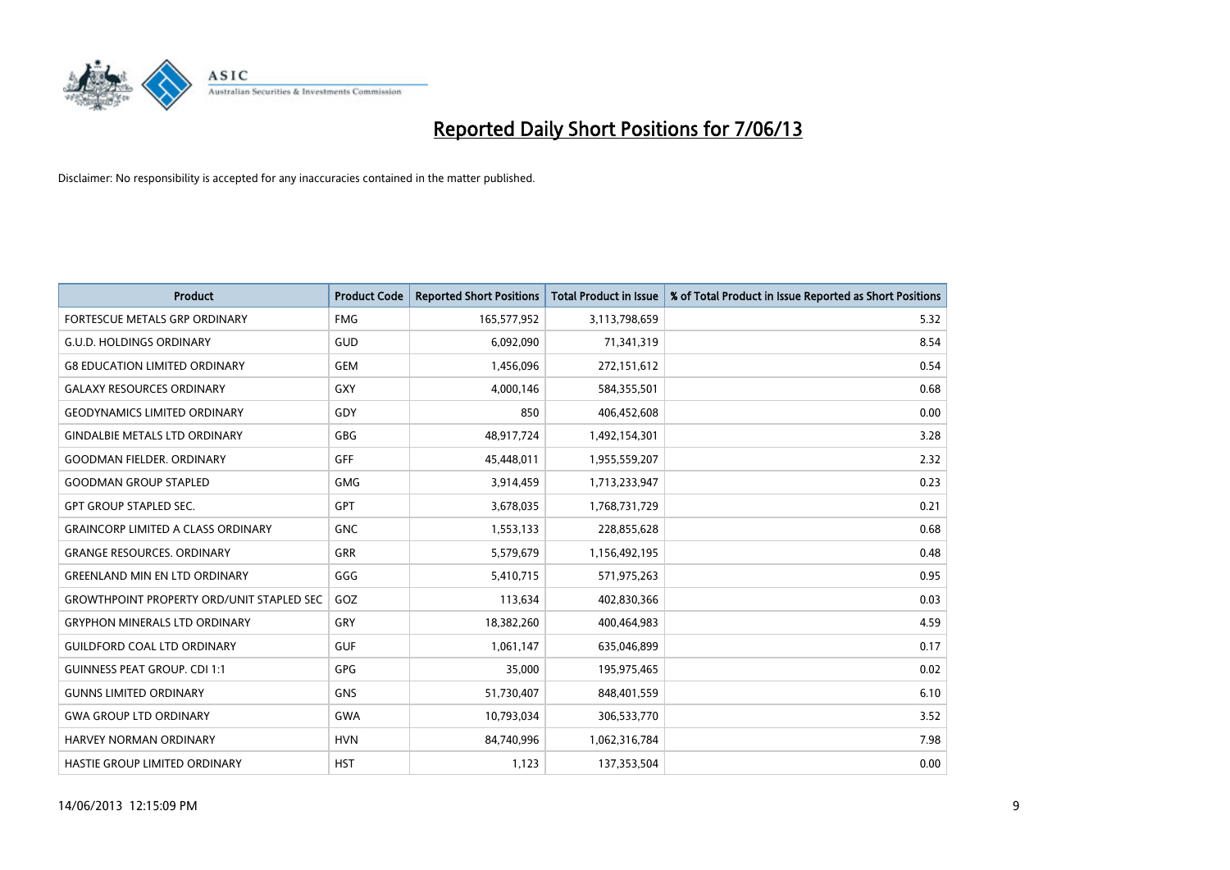

| <b>Product</b>                                   | <b>Product Code</b> | <b>Reported Short Positions</b> | <b>Total Product in Issue</b> | % of Total Product in Issue Reported as Short Positions |
|--------------------------------------------------|---------------------|---------------------------------|-------------------------------|---------------------------------------------------------|
| FORTESCUE METALS GRP ORDINARY                    | <b>FMG</b>          | 165,577,952                     | 3,113,798,659                 | 5.32                                                    |
| <b>G.U.D. HOLDINGS ORDINARY</b>                  | GUD                 | 6,092,090                       | 71,341,319                    | 8.54                                                    |
| <b>G8 EDUCATION LIMITED ORDINARY</b>             | <b>GEM</b>          | 1,456,096                       | 272,151,612                   | 0.54                                                    |
| <b>GALAXY RESOURCES ORDINARY</b>                 | <b>GXY</b>          | 4,000,146                       | 584,355,501                   | 0.68                                                    |
| <b>GEODYNAMICS LIMITED ORDINARY</b>              | GDY                 | 850                             | 406,452,608                   | 0.00                                                    |
| <b>GINDALBIE METALS LTD ORDINARY</b>             | <b>GBG</b>          | 48,917,724                      | 1,492,154,301                 | 3.28                                                    |
| <b>GOODMAN FIELDER, ORDINARY</b>                 | GFF                 | 45,448,011                      | 1,955,559,207                 | 2.32                                                    |
| <b>GOODMAN GROUP STAPLED</b>                     | <b>GMG</b>          | 3,914,459                       | 1,713,233,947                 | 0.23                                                    |
| <b>GPT GROUP STAPLED SEC.</b>                    | GPT                 | 3,678,035                       | 1,768,731,729                 | 0.21                                                    |
| <b>GRAINCORP LIMITED A CLASS ORDINARY</b>        | <b>GNC</b>          | 1,553,133                       | 228,855,628                   | 0.68                                                    |
| <b>GRANGE RESOURCES. ORDINARY</b>                | <b>GRR</b>          | 5,579,679                       | 1,156,492,195                 | 0.48                                                    |
| <b>GREENLAND MIN EN LTD ORDINARY</b>             | GGG                 | 5,410,715                       | 571,975,263                   | 0.95                                                    |
| <b>GROWTHPOINT PROPERTY ORD/UNIT STAPLED SEC</b> | GOZ                 | 113,634                         | 402,830,366                   | 0.03                                                    |
| <b>GRYPHON MINERALS LTD ORDINARY</b>             | GRY                 | 18,382,260                      | 400,464,983                   | 4.59                                                    |
| <b>GUILDFORD COAL LTD ORDINARY</b>               | <b>GUF</b>          | 1,061,147                       | 635,046,899                   | 0.17                                                    |
| <b>GUINNESS PEAT GROUP. CDI 1:1</b>              | <b>GPG</b>          | 35,000                          | 195,975,465                   | 0.02                                                    |
| <b>GUNNS LIMITED ORDINARY</b>                    | <b>GNS</b>          | 51,730,407                      | 848,401,559                   | 6.10                                                    |
| <b>GWA GROUP LTD ORDINARY</b>                    | <b>GWA</b>          | 10,793,034                      | 306,533,770                   | 3.52                                                    |
| <b>HARVEY NORMAN ORDINARY</b>                    | <b>HVN</b>          | 84,740,996                      | 1,062,316,784                 | 7.98                                                    |
| HASTIE GROUP LIMITED ORDINARY                    | <b>HST</b>          | 1,123                           | 137,353,504                   | 0.00                                                    |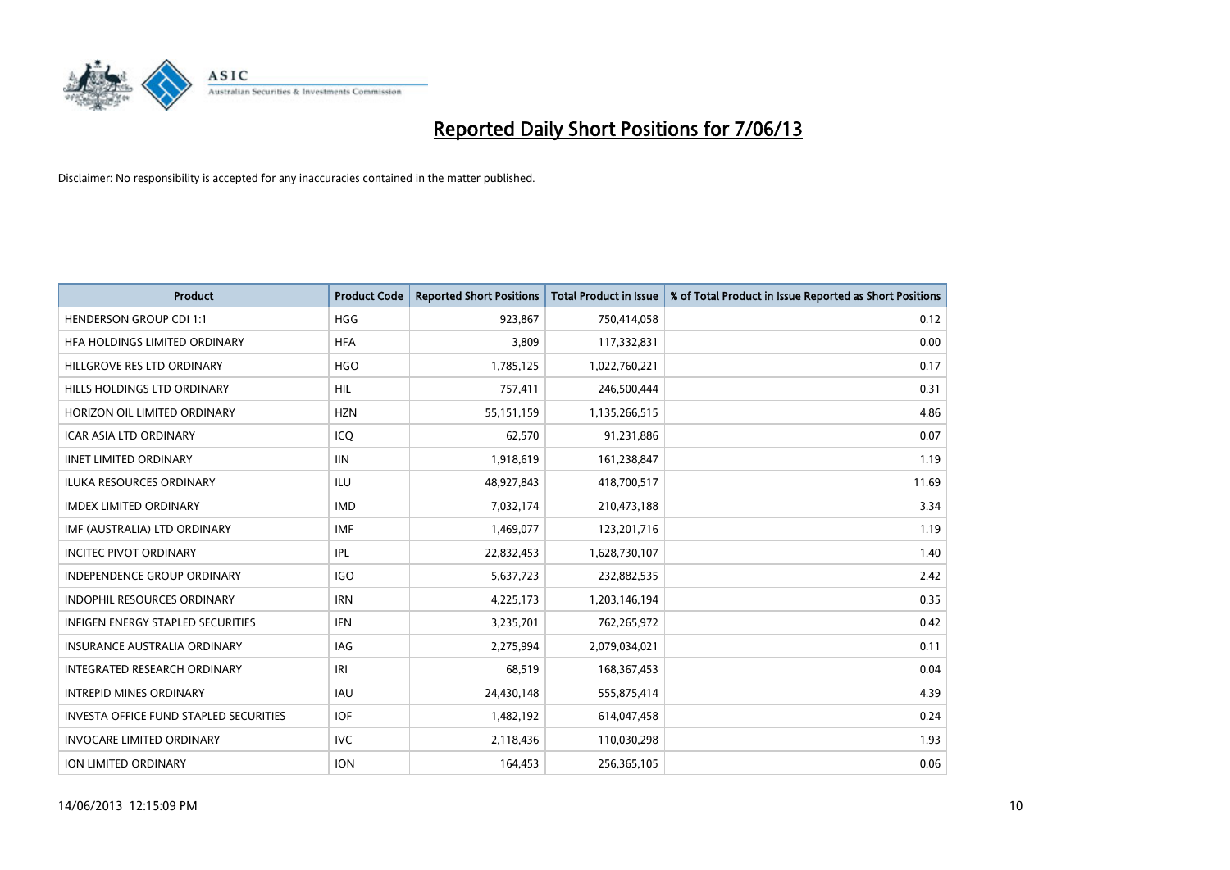

| <b>Product</b>                                | <b>Product Code</b> | <b>Reported Short Positions</b> | <b>Total Product in Issue</b> | % of Total Product in Issue Reported as Short Positions |
|-----------------------------------------------|---------------------|---------------------------------|-------------------------------|---------------------------------------------------------|
| <b>HENDERSON GROUP CDI 1:1</b>                | <b>HGG</b>          | 923,867                         | 750,414,058                   | 0.12                                                    |
| HEA HOLDINGS LIMITED ORDINARY                 | <b>HFA</b>          | 3,809                           | 117,332,831                   | 0.00                                                    |
| HILLGROVE RES LTD ORDINARY                    | <b>HGO</b>          | 1,785,125                       | 1,022,760,221                 | 0.17                                                    |
| HILLS HOLDINGS LTD ORDINARY                   | <b>HIL</b>          | 757,411                         | 246,500,444                   | 0.31                                                    |
| HORIZON OIL LIMITED ORDINARY                  | <b>HZN</b>          | 55,151,159                      | 1,135,266,515                 | 4.86                                                    |
| <b>ICAR ASIA LTD ORDINARY</b>                 | ICQ                 | 62,570                          | 91,231,886                    | 0.07                                                    |
| <b>IINET LIMITED ORDINARY</b>                 | <b>IIN</b>          | 1,918,619                       | 161,238,847                   | 1.19                                                    |
| <b>ILUKA RESOURCES ORDINARY</b>               | <b>ILU</b>          | 48,927,843                      | 418,700,517                   | 11.69                                                   |
| <b>IMDEX LIMITED ORDINARY</b>                 | <b>IMD</b>          | 7,032,174                       | 210,473,188                   | 3.34                                                    |
| IMF (AUSTRALIA) LTD ORDINARY                  | <b>IMF</b>          | 1,469,077                       | 123,201,716                   | 1.19                                                    |
| <b>INCITEC PIVOT ORDINARY</b>                 | <b>IPL</b>          | 22,832,453                      | 1,628,730,107                 | 1.40                                                    |
| INDEPENDENCE GROUP ORDINARY                   | <b>IGO</b>          | 5,637,723                       | 232,882,535                   | 2.42                                                    |
| <b>INDOPHIL RESOURCES ORDINARY</b>            | <b>IRN</b>          | 4,225,173                       | 1,203,146,194                 | 0.35                                                    |
| <b>INFIGEN ENERGY STAPLED SECURITIES</b>      | <b>IFN</b>          | 3,235,701                       | 762,265,972                   | 0.42                                                    |
| INSURANCE AUSTRALIA ORDINARY                  | IAG                 | 2,275,994                       | 2,079,034,021                 | 0.11                                                    |
| <b>INTEGRATED RESEARCH ORDINARY</b>           | IRI                 | 68,519                          | 168,367,453                   | 0.04                                                    |
| <b>INTREPID MINES ORDINARY</b>                | <b>IAU</b>          | 24,430,148                      | 555,875,414                   | 4.39                                                    |
| <b>INVESTA OFFICE FUND STAPLED SECURITIES</b> | <b>IOF</b>          | 1,482,192                       | 614,047,458                   | 0.24                                                    |
| <b>INVOCARE LIMITED ORDINARY</b>              | <b>IVC</b>          | 2,118,436                       | 110,030,298                   | 1.93                                                    |
| ION LIMITED ORDINARY                          | <b>ION</b>          | 164,453                         | 256,365,105                   | 0.06                                                    |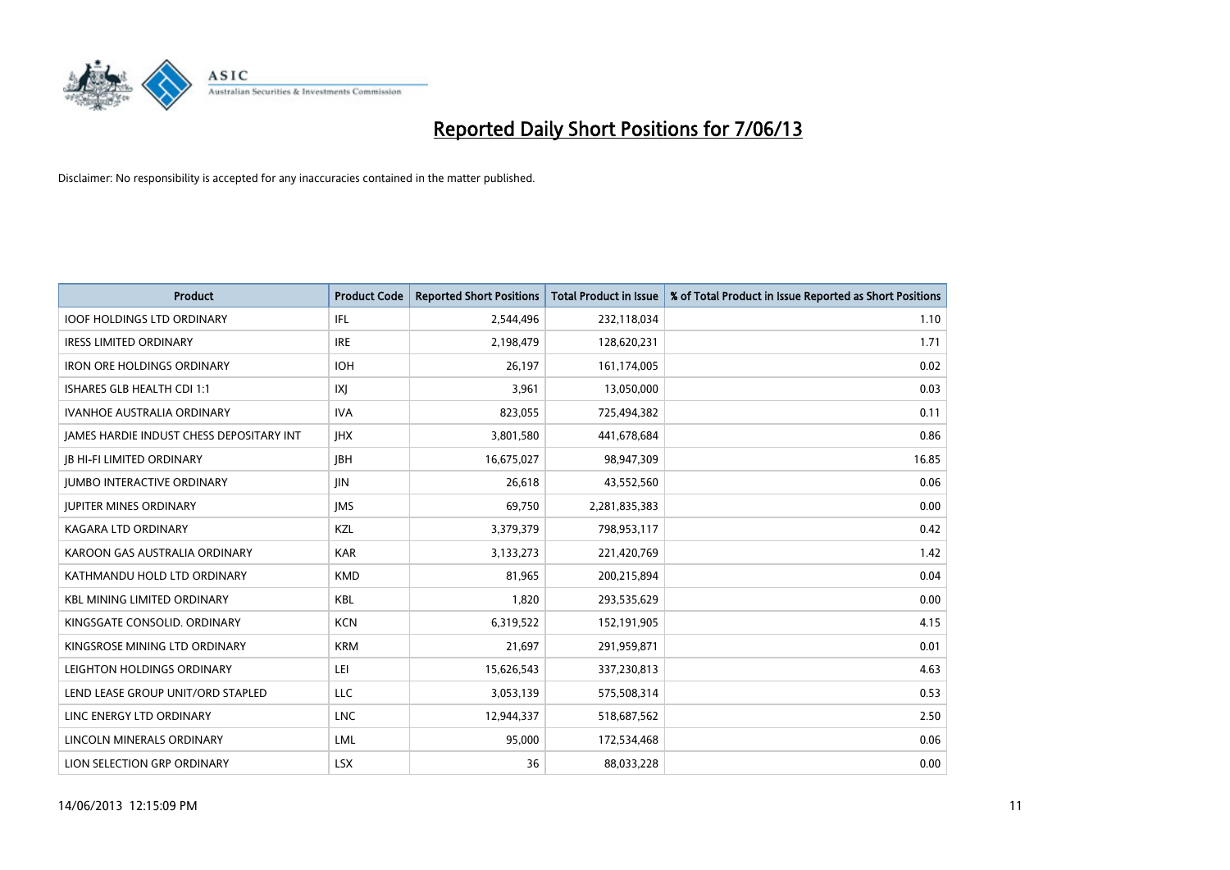

| <b>Product</b>                           | <b>Product Code</b> | <b>Reported Short Positions</b> | <b>Total Product in Issue</b> | % of Total Product in Issue Reported as Short Positions |
|------------------------------------------|---------------------|---------------------------------|-------------------------------|---------------------------------------------------------|
| <b>IOOF HOLDINGS LTD ORDINARY</b>        | IFL                 | 2,544,496                       | 232,118,034                   | 1.10                                                    |
| <b>IRESS LIMITED ORDINARY</b>            | <b>IRE</b>          | 2,198,479                       | 128,620,231                   | 1.71                                                    |
| <b>IRON ORE HOLDINGS ORDINARY</b>        | <b>IOH</b>          | 26,197                          | 161,174,005                   | 0.02                                                    |
| ISHARES GLB HEALTH CDI 1:1               | IXJ                 | 3,961                           | 13,050,000                    | 0.03                                                    |
| <b>IVANHOE AUSTRALIA ORDINARY</b>        | <b>IVA</b>          | 823,055                         | 725,494,382                   | 0.11                                                    |
| JAMES HARDIE INDUST CHESS DEPOSITARY INT | <b>IHX</b>          | 3,801,580                       | 441,678,684                   | 0.86                                                    |
| <b>JB HI-FI LIMITED ORDINARY</b>         | <b>IBH</b>          | 16,675,027                      | 98,947,309                    | 16.85                                                   |
| <b>JUMBO INTERACTIVE ORDINARY</b>        | <b>JIN</b>          | 26,618                          | 43,552,560                    | 0.06                                                    |
| <b>JUPITER MINES ORDINARY</b>            | <b>IMS</b>          | 69,750                          | 2,281,835,383                 | 0.00                                                    |
| <b>KAGARA LTD ORDINARY</b>               | KZL                 | 3,379,379                       | 798,953,117                   | 0.42                                                    |
| KAROON GAS AUSTRALIA ORDINARY            | <b>KAR</b>          | 3,133,273                       | 221,420,769                   | 1.42                                                    |
| KATHMANDU HOLD LTD ORDINARY              | <b>KMD</b>          | 81,965                          | 200,215,894                   | 0.04                                                    |
| <b>KBL MINING LIMITED ORDINARY</b>       | <b>KBL</b>          | 1,820                           | 293,535,629                   | 0.00                                                    |
| KINGSGATE CONSOLID. ORDINARY             | <b>KCN</b>          | 6,319,522                       | 152,191,905                   | 4.15                                                    |
| KINGSROSE MINING LTD ORDINARY            | <b>KRM</b>          | 21,697                          | 291,959,871                   | 0.01                                                    |
| LEIGHTON HOLDINGS ORDINARY               | LEI                 | 15,626,543                      | 337,230,813                   | 4.63                                                    |
| LEND LEASE GROUP UNIT/ORD STAPLED        | LLC                 | 3,053,139                       | 575,508,314                   | 0.53                                                    |
| LINC ENERGY LTD ORDINARY                 | LNC                 | 12,944,337                      | 518,687,562                   | 2.50                                                    |
| LINCOLN MINERALS ORDINARY                | <b>LML</b>          | 95,000                          | 172,534,468                   | 0.06                                                    |
| LION SELECTION GRP ORDINARY              | <b>LSX</b>          | 36                              | 88,033,228                    | 0.00                                                    |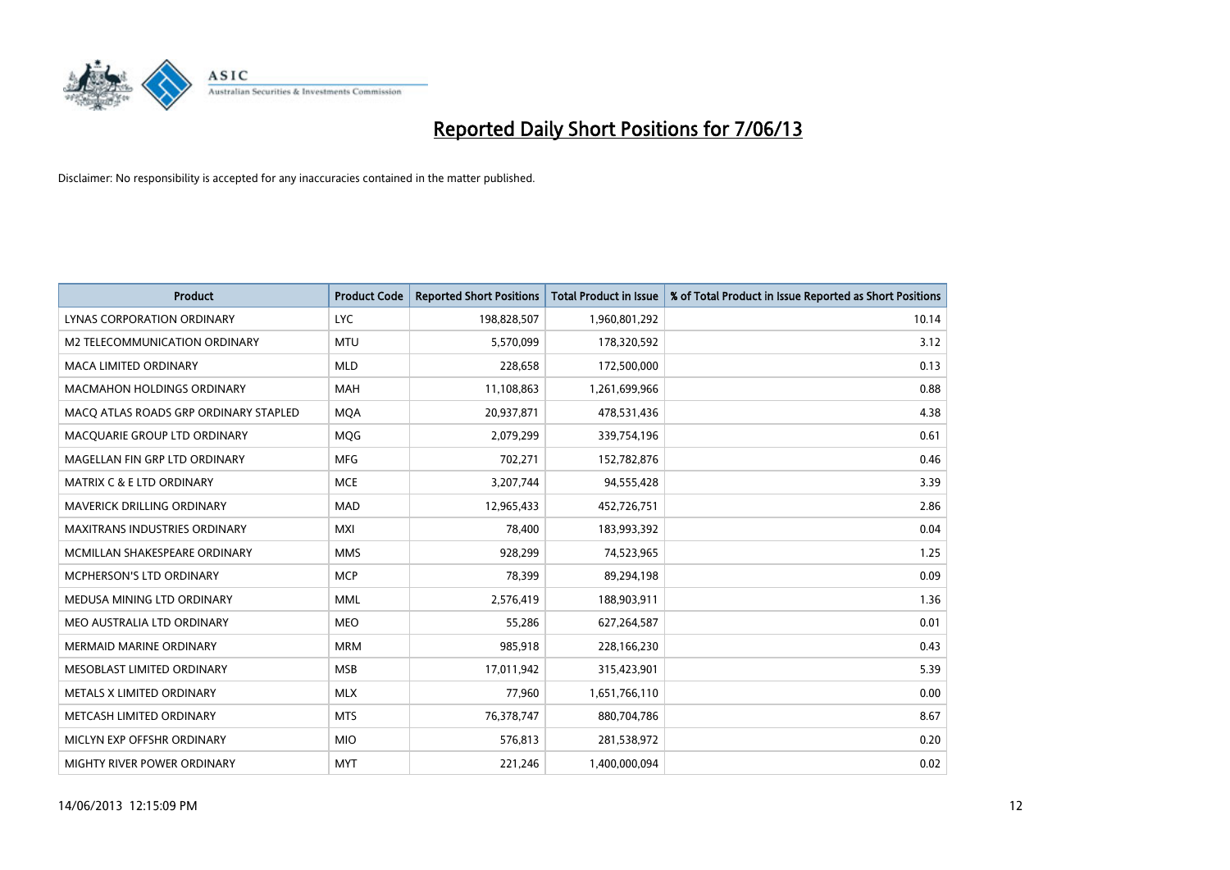

| <b>Product</b>                        | <b>Product Code</b> | <b>Reported Short Positions</b> | <b>Total Product in Issue</b> | % of Total Product in Issue Reported as Short Positions |
|---------------------------------------|---------------------|---------------------------------|-------------------------------|---------------------------------------------------------|
| LYNAS CORPORATION ORDINARY            | <b>LYC</b>          | 198,828,507                     | 1,960,801,292                 | 10.14                                                   |
| M2 TELECOMMUNICATION ORDINARY         | MTU                 | 5,570,099                       | 178,320,592                   | 3.12                                                    |
| <b>MACA LIMITED ORDINARY</b>          | <b>MLD</b>          | 228,658                         | 172,500,000                   | 0.13                                                    |
| MACMAHON HOLDINGS ORDINARY            | <b>MAH</b>          | 11,108,863                      | 1,261,699,966                 | 0.88                                                    |
| MACO ATLAS ROADS GRP ORDINARY STAPLED | <b>MOA</b>          | 20,937,871                      | 478,531,436                   | 4.38                                                    |
| MACQUARIE GROUP LTD ORDINARY          | MQG                 | 2,079,299                       | 339,754,196                   | 0.61                                                    |
| MAGELLAN FIN GRP LTD ORDINARY         | <b>MFG</b>          | 702,271                         | 152,782,876                   | 0.46                                                    |
| <b>MATRIX C &amp; E LTD ORDINARY</b>  | <b>MCE</b>          | 3,207,744                       | 94,555,428                    | 3.39                                                    |
| <b>MAVERICK DRILLING ORDINARY</b>     | <b>MAD</b>          | 12,965,433                      | 452,726,751                   | 2.86                                                    |
| <b>MAXITRANS INDUSTRIES ORDINARY</b>  | <b>MXI</b>          | 78,400                          | 183,993,392                   | 0.04                                                    |
| MCMILLAN SHAKESPEARE ORDINARY         | <b>MMS</b>          | 928,299                         | 74,523,965                    | 1.25                                                    |
| MCPHERSON'S LTD ORDINARY              | <b>MCP</b>          | 78,399                          | 89,294,198                    | 0.09                                                    |
| MEDUSA MINING LTD ORDINARY            | <b>MML</b>          | 2,576,419                       | 188,903,911                   | 1.36                                                    |
| MEO AUSTRALIA LTD ORDINARY            | <b>MEO</b>          | 55,286                          | 627,264,587                   | 0.01                                                    |
| <b>MERMAID MARINE ORDINARY</b>        | <b>MRM</b>          | 985,918                         | 228,166,230                   | 0.43                                                    |
| MESOBLAST LIMITED ORDINARY            | <b>MSB</b>          | 17,011,942                      | 315,423,901                   | 5.39                                                    |
| METALS X LIMITED ORDINARY             | <b>MLX</b>          | 77,960                          | 1,651,766,110                 | 0.00                                                    |
| METCASH LIMITED ORDINARY              | <b>MTS</b>          | 76,378,747                      | 880,704,786                   | 8.67                                                    |
| MICLYN EXP OFFSHR ORDINARY            | <b>MIO</b>          | 576,813                         | 281,538,972                   | 0.20                                                    |
| MIGHTY RIVER POWER ORDINARY           | <b>MYT</b>          | 221,246                         | 1,400,000,094                 | 0.02                                                    |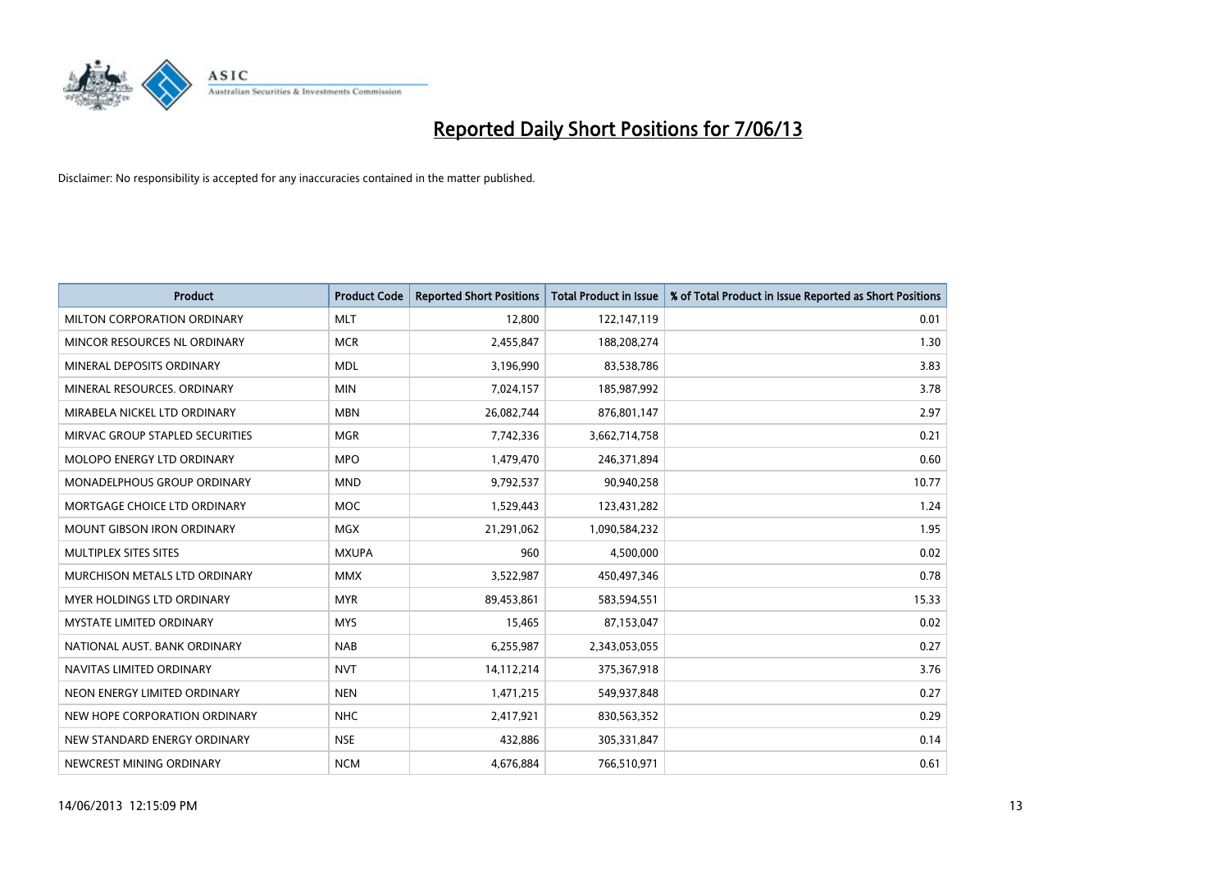

| <b>Product</b>                    | <b>Product Code</b> | <b>Reported Short Positions</b> | <b>Total Product in Issue</b> | % of Total Product in Issue Reported as Short Positions |
|-----------------------------------|---------------------|---------------------------------|-------------------------------|---------------------------------------------------------|
| MILTON CORPORATION ORDINARY       | <b>MLT</b>          | 12,800                          | 122,147,119                   | 0.01                                                    |
| MINCOR RESOURCES NL ORDINARY      | <b>MCR</b>          | 2,455,847                       | 188,208,274                   | 1.30                                                    |
| MINERAL DEPOSITS ORDINARY         | <b>MDL</b>          | 3,196,990                       | 83,538,786                    | 3.83                                                    |
| MINERAL RESOURCES, ORDINARY       | <b>MIN</b>          | 7,024,157                       | 185,987,992                   | 3.78                                                    |
| MIRABELA NICKEL LTD ORDINARY      | <b>MBN</b>          | 26,082,744                      | 876,801,147                   | 2.97                                                    |
| MIRVAC GROUP STAPLED SECURITIES   | <b>MGR</b>          | 7,742,336                       | 3,662,714,758                 | 0.21                                                    |
| MOLOPO ENERGY LTD ORDINARY        | <b>MPO</b>          | 1,479,470                       | 246,371,894                   | 0.60                                                    |
| MONADELPHOUS GROUP ORDINARY       | <b>MND</b>          | 9,792,537                       | 90,940,258                    | 10.77                                                   |
| MORTGAGE CHOICE LTD ORDINARY      | <b>MOC</b>          | 1,529,443                       | 123,431,282                   | 1.24                                                    |
| <b>MOUNT GIBSON IRON ORDINARY</b> | <b>MGX</b>          | 21,291,062                      | 1,090,584,232                 | 1.95                                                    |
| MULTIPLEX SITES SITES             | <b>MXUPA</b>        | 960                             | 4,500,000                     | 0.02                                                    |
| MURCHISON METALS LTD ORDINARY     | <b>MMX</b>          | 3,522,987                       | 450,497,346                   | 0.78                                                    |
| MYER HOLDINGS LTD ORDINARY        | <b>MYR</b>          | 89,453,861                      | 583,594,551                   | 15.33                                                   |
| <b>MYSTATE LIMITED ORDINARY</b>   | <b>MYS</b>          | 15,465                          | 87,153,047                    | 0.02                                                    |
| NATIONAL AUST, BANK ORDINARY      | <b>NAB</b>          | 6,255,987                       | 2,343,053,055                 | 0.27                                                    |
| NAVITAS LIMITED ORDINARY          | <b>NVT</b>          | 14,112,214                      | 375,367,918                   | 3.76                                                    |
| NEON ENERGY LIMITED ORDINARY      | <b>NEN</b>          | 1,471,215                       | 549,937,848                   | 0.27                                                    |
| NEW HOPE CORPORATION ORDINARY     | <b>NHC</b>          | 2,417,921                       | 830,563,352                   | 0.29                                                    |
| NEW STANDARD ENERGY ORDINARY      | <b>NSE</b>          | 432,886                         | 305,331,847                   | 0.14                                                    |
| NEWCREST MINING ORDINARY          | <b>NCM</b>          | 4,676,884                       | 766,510,971                   | 0.61                                                    |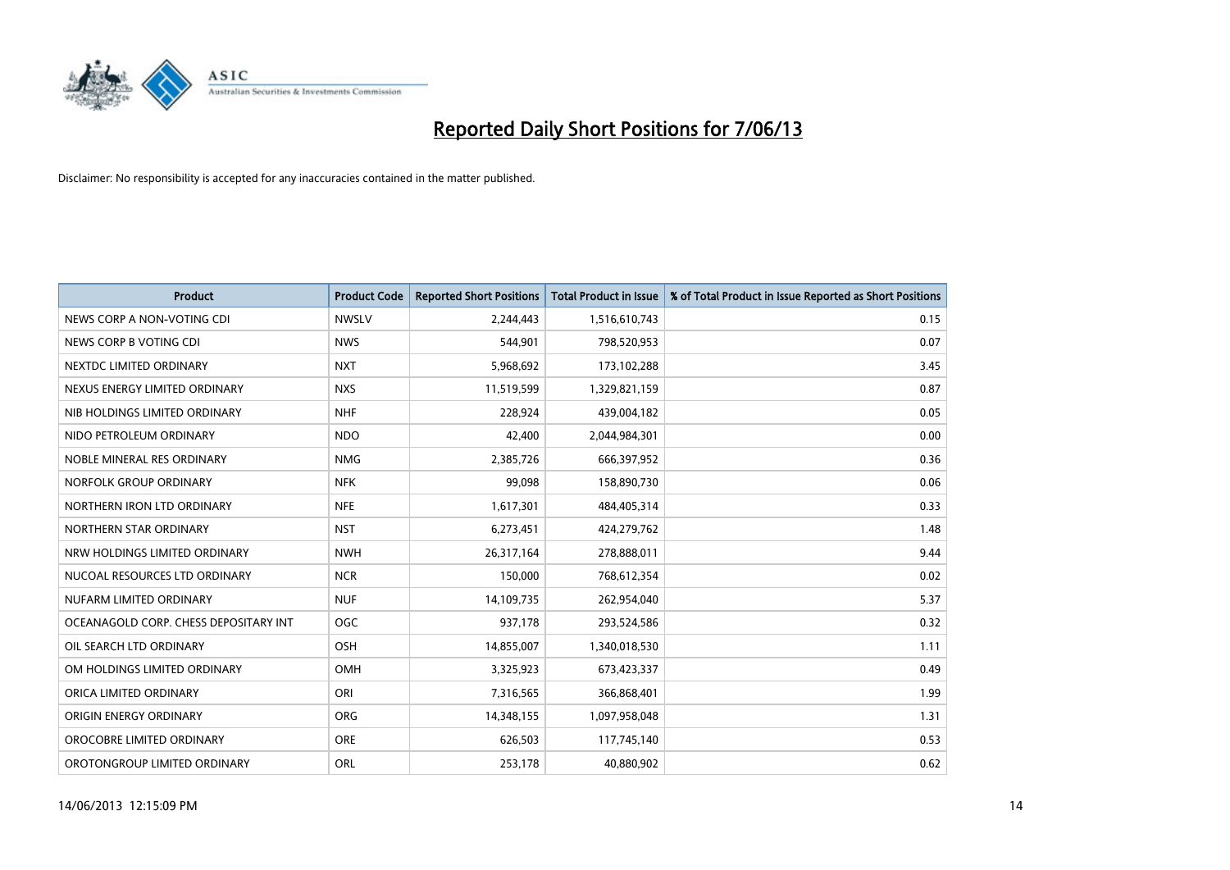

| <b>Product</b>                        | <b>Product Code</b> | <b>Reported Short Positions</b> | <b>Total Product in Issue</b> | % of Total Product in Issue Reported as Short Positions |
|---------------------------------------|---------------------|---------------------------------|-------------------------------|---------------------------------------------------------|
| NEWS CORP A NON-VOTING CDI            | <b>NWSLV</b>        | 2,244,443                       | 1,516,610,743                 | 0.15                                                    |
| NEWS CORP B VOTING CDI                | <b>NWS</b>          | 544,901                         | 798,520,953                   | 0.07                                                    |
| NEXTDC LIMITED ORDINARY               | <b>NXT</b>          | 5,968,692                       | 173,102,288                   | 3.45                                                    |
| NEXUS ENERGY LIMITED ORDINARY         | <b>NXS</b>          | 11,519,599                      | 1,329,821,159                 | 0.87                                                    |
| NIB HOLDINGS LIMITED ORDINARY         | <b>NHF</b>          | 228,924                         | 439,004,182                   | 0.05                                                    |
| NIDO PETROLEUM ORDINARY               | <b>NDO</b>          | 42,400                          | 2,044,984,301                 | 0.00                                                    |
| NOBLE MINERAL RES ORDINARY            | <b>NMG</b>          | 2,385,726                       | 666,397,952                   | 0.36                                                    |
| NORFOLK GROUP ORDINARY                | <b>NFK</b>          | 99,098                          | 158,890,730                   | 0.06                                                    |
| NORTHERN IRON LTD ORDINARY            | <b>NFE</b>          | 1,617,301                       | 484,405,314                   | 0.33                                                    |
| NORTHERN STAR ORDINARY                | <b>NST</b>          | 6,273,451                       | 424,279,762                   | 1.48                                                    |
| NRW HOLDINGS LIMITED ORDINARY         | <b>NWH</b>          | 26,317,164                      | 278,888,011                   | 9.44                                                    |
| NUCOAL RESOURCES LTD ORDINARY         | <b>NCR</b>          | 150,000                         | 768,612,354                   | 0.02                                                    |
| NUFARM LIMITED ORDINARY               | <b>NUF</b>          | 14,109,735                      | 262,954,040                   | 5.37                                                    |
| OCEANAGOLD CORP. CHESS DEPOSITARY INT | <b>OGC</b>          | 937,178                         | 293,524,586                   | 0.32                                                    |
| OIL SEARCH LTD ORDINARY               | OSH                 | 14,855,007                      | 1,340,018,530                 | 1.11                                                    |
| OM HOLDINGS LIMITED ORDINARY          | OMH                 | 3,325,923                       | 673,423,337                   | 0.49                                                    |
| ORICA LIMITED ORDINARY                | ORI                 | 7,316,565                       | 366,868,401                   | 1.99                                                    |
| ORIGIN ENERGY ORDINARY                | <b>ORG</b>          | 14,348,155                      | 1,097,958,048                 | 1.31                                                    |
| OROCOBRE LIMITED ORDINARY             | <b>ORE</b>          | 626,503                         | 117,745,140                   | 0.53                                                    |
| OROTONGROUP LIMITED ORDINARY          | <b>ORL</b>          | 253,178                         | 40,880,902                    | 0.62                                                    |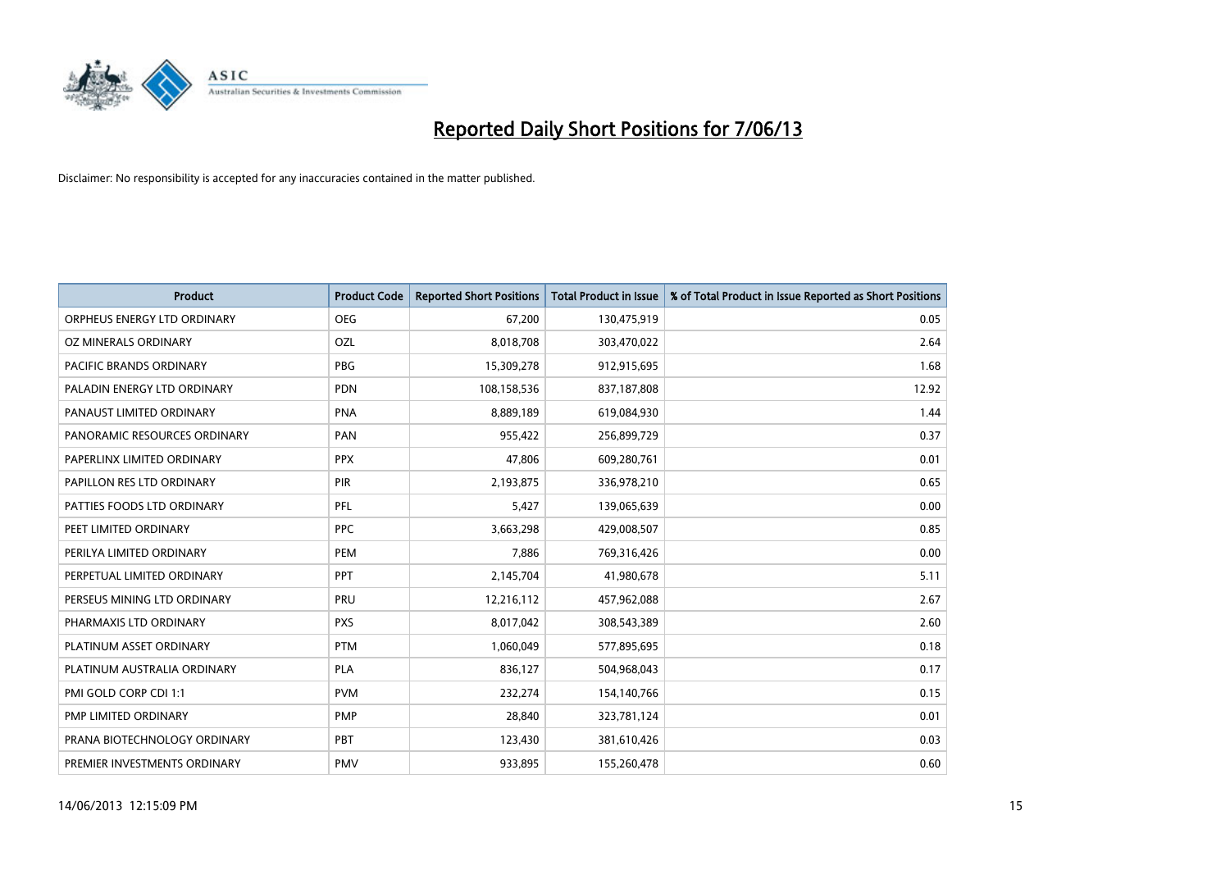

| <b>Product</b>               | <b>Product Code</b> | <b>Reported Short Positions</b> | <b>Total Product in Issue</b> | % of Total Product in Issue Reported as Short Positions |
|------------------------------|---------------------|---------------------------------|-------------------------------|---------------------------------------------------------|
| ORPHEUS ENERGY LTD ORDINARY  | <b>OEG</b>          | 67,200                          | 130,475,919                   | 0.05                                                    |
| OZ MINERALS ORDINARY         | OZL                 | 8,018,708                       | 303,470,022                   | 2.64                                                    |
| PACIFIC BRANDS ORDINARY      | <b>PBG</b>          | 15,309,278                      | 912,915,695                   | 1.68                                                    |
| PALADIN ENERGY LTD ORDINARY  | <b>PDN</b>          | 108,158,536                     | 837,187,808                   | 12.92                                                   |
| PANAUST LIMITED ORDINARY     | <b>PNA</b>          | 8,889,189                       | 619,084,930                   | 1.44                                                    |
| PANORAMIC RESOURCES ORDINARY | PAN                 | 955,422                         | 256,899,729                   | 0.37                                                    |
| PAPERLINX LIMITED ORDINARY   | <b>PPX</b>          | 47,806                          | 609,280,761                   | 0.01                                                    |
| PAPILLON RES LTD ORDINARY    | PIR                 | 2,193,875                       | 336,978,210                   | 0.65                                                    |
| PATTIES FOODS LTD ORDINARY   | PFL                 | 5,427                           | 139,065,639                   | 0.00                                                    |
| PEET LIMITED ORDINARY        | <b>PPC</b>          | 3,663,298                       | 429,008,507                   | 0.85                                                    |
| PERILYA LIMITED ORDINARY     | PEM                 | 7,886                           | 769,316,426                   | 0.00                                                    |
| PERPETUAL LIMITED ORDINARY   | <b>PPT</b>          | 2,145,704                       | 41,980,678                    | 5.11                                                    |
| PERSEUS MINING LTD ORDINARY  | PRU                 | 12,216,112                      | 457,962,088                   | 2.67                                                    |
| PHARMAXIS LTD ORDINARY       | <b>PXS</b>          | 8,017,042                       | 308,543,389                   | 2.60                                                    |
| PLATINUM ASSET ORDINARY      | <b>PTM</b>          | 1,060,049                       | 577,895,695                   | 0.18                                                    |
| PLATINUM AUSTRALIA ORDINARY  | PLA                 | 836,127                         | 504,968,043                   | 0.17                                                    |
| PMI GOLD CORP CDI 1:1        | <b>PVM</b>          | 232,274                         | 154,140,766                   | 0.15                                                    |
| PMP LIMITED ORDINARY         | <b>PMP</b>          | 28,840                          | 323,781,124                   | 0.01                                                    |
| PRANA BIOTECHNOLOGY ORDINARY | PBT                 | 123,430                         | 381,610,426                   | 0.03                                                    |
| PREMIER INVESTMENTS ORDINARY | <b>PMV</b>          | 933,895                         | 155,260,478                   | 0.60                                                    |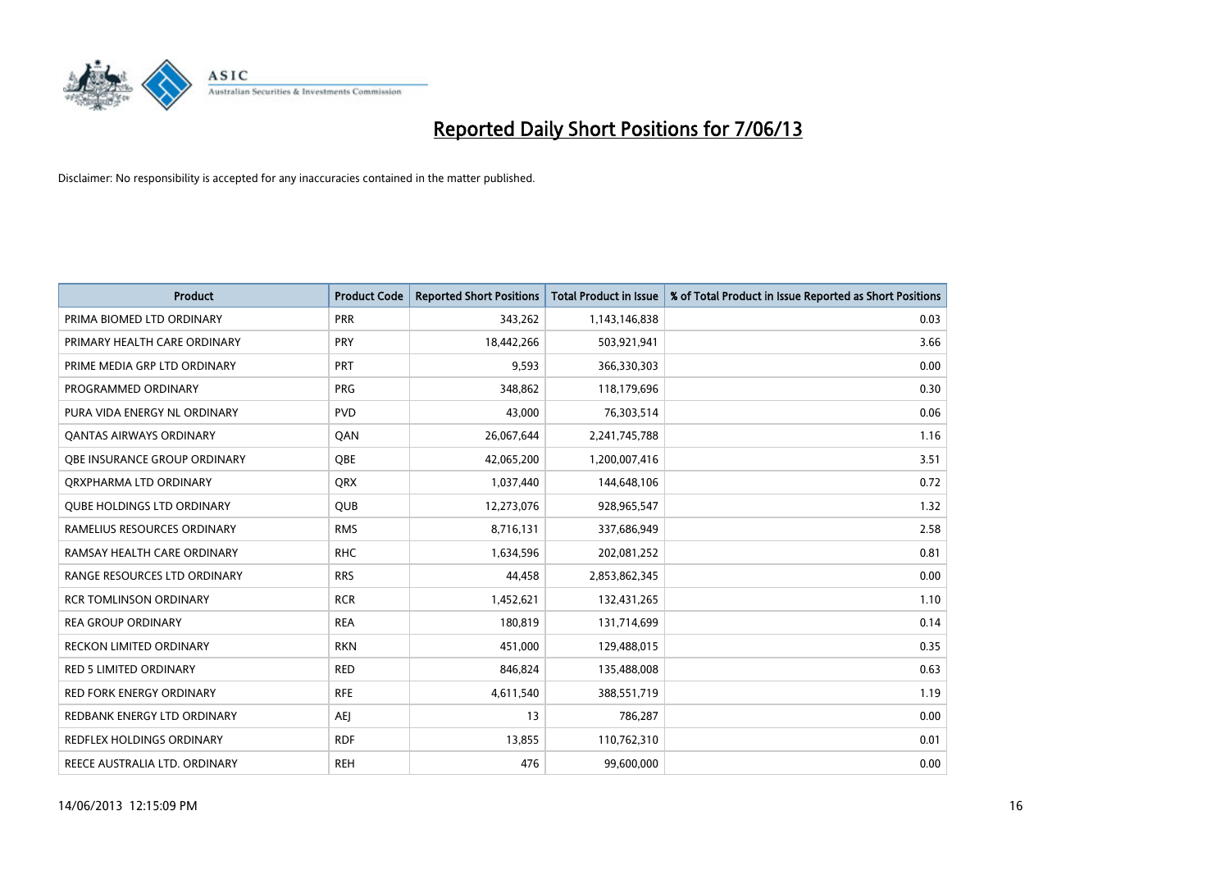

| <b>Product</b>                    | <b>Product Code</b> | <b>Reported Short Positions</b> | <b>Total Product in Issue</b> | % of Total Product in Issue Reported as Short Positions |
|-----------------------------------|---------------------|---------------------------------|-------------------------------|---------------------------------------------------------|
| PRIMA BIOMED LTD ORDINARY         | <b>PRR</b>          | 343,262                         | 1,143,146,838                 | 0.03                                                    |
| PRIMARY HEALTH CARE ORDINARY      | <b>PRY</b>          | 18,442,266                      | 503,921,941                   | 3.66                                                    |
| PRIME MEDIA GRP LTD ORDINARY      | PRT                 | 9,593                           | 366,330,303                   | 0.00                                                    |
| PROGRAMMED ORDINARY               | <b>PRG</b>          | 348.862                         | 118,179,696                   | 0.30                                                    |
| PURA VIDA ENERGY NL ORDINARY      | <b>PVD</b>          | 43,000                          | 76,303,514                    | 0.06                                                    |
| <b>QANTAS AIRWAYS ORDINARY</b>    | QAN                 | 26,067,644                      | 2,241,745,788                 | 1.16                                                    |
| OBE INSURANCE GROUP ORDINARY      | <b>OBE</b>          | 42,065,200                      | 1,200,007,416                 | 3.51                                                    |
| ORXPHARMA LTD ORDINARY            | QRX                 | 1,037,440                       | 144,648,106                   | 0.72                                                    |
| <b>QUBE HOLDINGS LTD ORDINARY</b> | <b>QUB</b>          | 12,273,076                      | 928,965,547                   | 1.32                                                    |
| RAMELIUS RESOURCES ORDINARY       | <b>RMS</b>          | 8,716,131                       | 337,686,949                   | 2.58                                                    |
| RAMSAY HEALTH CARE ORDINARY       | <b>RHC</b>          | 1,634,596                       | 202,081,252                   | 0.81                                                    |
| RANGE RESOURCES LTD ORDINARY      | <b>RRS</b>          | 44.458                          | 2,853,862,345                 | 0.00                                                    |
| <b>RCR TOMLINSON ORDINARY</b>     | <b>RCR</b>          | 1,452,621                       | 132,431,265                   | 1.10                                                    |
| <b>REA GROUP ORDINARY</b>         | <b>REA</b>          | 180,819                         | 131,714,699                   | 0.14                                                    |
| RECKON LIMITED ORDINARY           | <b>RKN</b>          | 451,000                         | 129,488,015                   | 0.35                                                    |
| <b>RED 5 LIMITED ORDINARY</b>     | <b>RED</b>          | 846,824                         | 135,488,008                   | 0.63                                                    |
| <b>RED FORK ENERGY ORDINARY</b>   | <b>RFE</b>          | 4,611,540                       | 388,551,719                   | 1.19                                                    |
| REDBANK ENERGY LTD ORDINARY       | AEJ                 | 13                              | 786,287                       | 0.00                                                    |
| <b>REDFLEX HOLDINGS ORDINARY</b>  | <b>RDF</b>          | 13,855                          | 110,762,310                   | 0.01                                                    |
| REECE AUSTRALIA LTD. ORDINARY     | <b>REH</b>          | 476                             | 99,600,000                    | 0.00                                                    |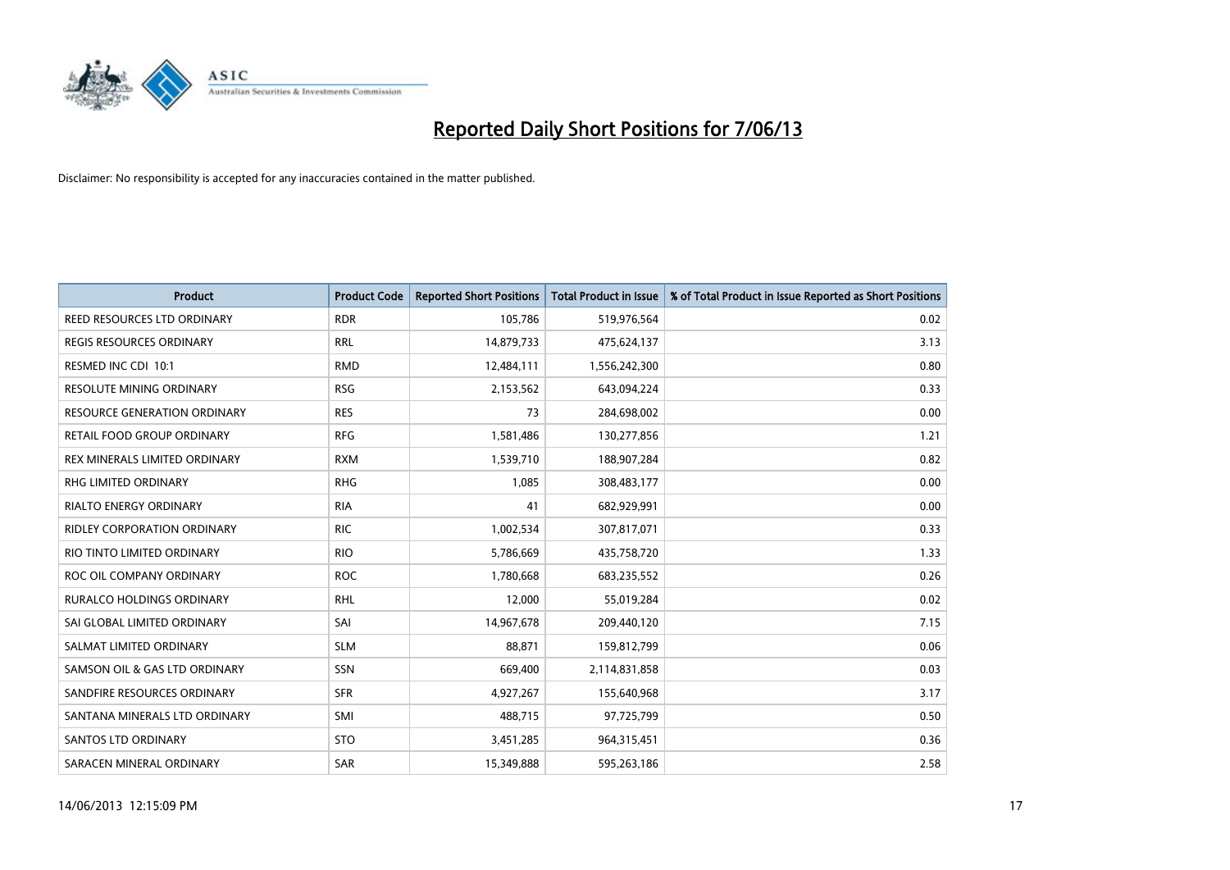

| Product                             | <b>Product Code</b> | <b>Reported Short Positions</b> | <b>Total Product in Issue</b> | % of Total Product in Issue Reported as Short Positions |
|-------------------------------------|---------------------|---------------------------------|-------------------------------|---------------------------------------------------------|
| REED RESOURCES LTD ORDINARY         | <b>RDR</b>          | 105,786                         | 519,976,564                   | 0.02                                                    |
| <b>REGIS RESOURCES ORDINARY</b>     | <b>RRL</b>          | 14,879,733                      | 475,624,137                   | 3.13                                                    |
| RESMED INC CDI 10:1                 | <b>RMD</b>          | 12,484,111                      | 1,556,242,300                 | 0.80                                                    |
| <b>RESOLUTE MINING ORDINARY</b>     | <b>RSG</b>          | 2,153,562                       | 643,094,224                   | 0.33                                                    |
| <b>RESOURCE GENERATION ORDINARY</b> | <b>RES</b>          | 73                              | 284,698,002                   | 0.00                                                    |
| RETAIL FOOD GROUP ORDINARY          | <b>RFG</b>          | 1,581,486                       | 130,277,856                   | 1.21                                                    |
| REX MINERALS LIMITED ORDINARY       | <b>RXM</b>          | 1,539,710                       | 188,907,284                   | 0.82                                                    |
| <b>RHG LIMITED ORDINARY</b>         | <b>RHG</b>          | 1,085                           | 308,483,177                   | 0.00                                                    |
| <b>RIALTO ENERGY ORDINARY</b>       | <b>RIA</b>          | 41                              | 682,929,991                   | 0.00                                                    |
| <b>RIDLEY CORPORATION ORDINARY</b>  | <b>RIC</b>          | 1,002,534                       | 307,817,071                   | 0.33                                                    |
| RIO TINTO LIMITED ORDINARY          | <b>RIO</b>          | 5,786,669                       | 435,758,720                   | 1.33                                                    |
| ROC OIL COMPANY ORDINARY            | <b>ROC</b>          | 1,780,668                       | 683,235,552                   | 0.26                                                    |
| RURALCO HOLDINGS ORDINARY           | <b>RHL</b>          | 12,000                          | 55,019,284                    | 0.02                                                    |
| SAI GLOBAL LIMITED ORDINARY         | SAI                 | 14,967,678                      | 209,440,120                   | 7.15                                                    |
| SALMAT LIMITED ORDINARY             | <b>SLM</b>          | 88.871                          | 159,812,799                   | 0.06                                                    |
| SAMSON OIL & GAS LTD ORDINARY       | SSN                 | 669,400                         | 2,114,831,858                 | 0.03                                                    |
| SANDFIRE RESOURCES ORDINARY         | <b>SFR</b>          | 4,927,267                       | 155,640,968                   | 3.17                                                    |
| SANTANA MINERALS LTD ORDINARY       | SMI                 | 488,715                         | 97,725,799                    | 0.50                                                    |
| SANTOS LTD ORDINARY                 | <b>STO</b>          | 3,451,285                       | 964,315,451                   | 0.36                                                    |
| SARACEN MINERAL ORDINARY            | SAR                 | 15,349,888                      | 595,263,186                   | 2.58                                                    |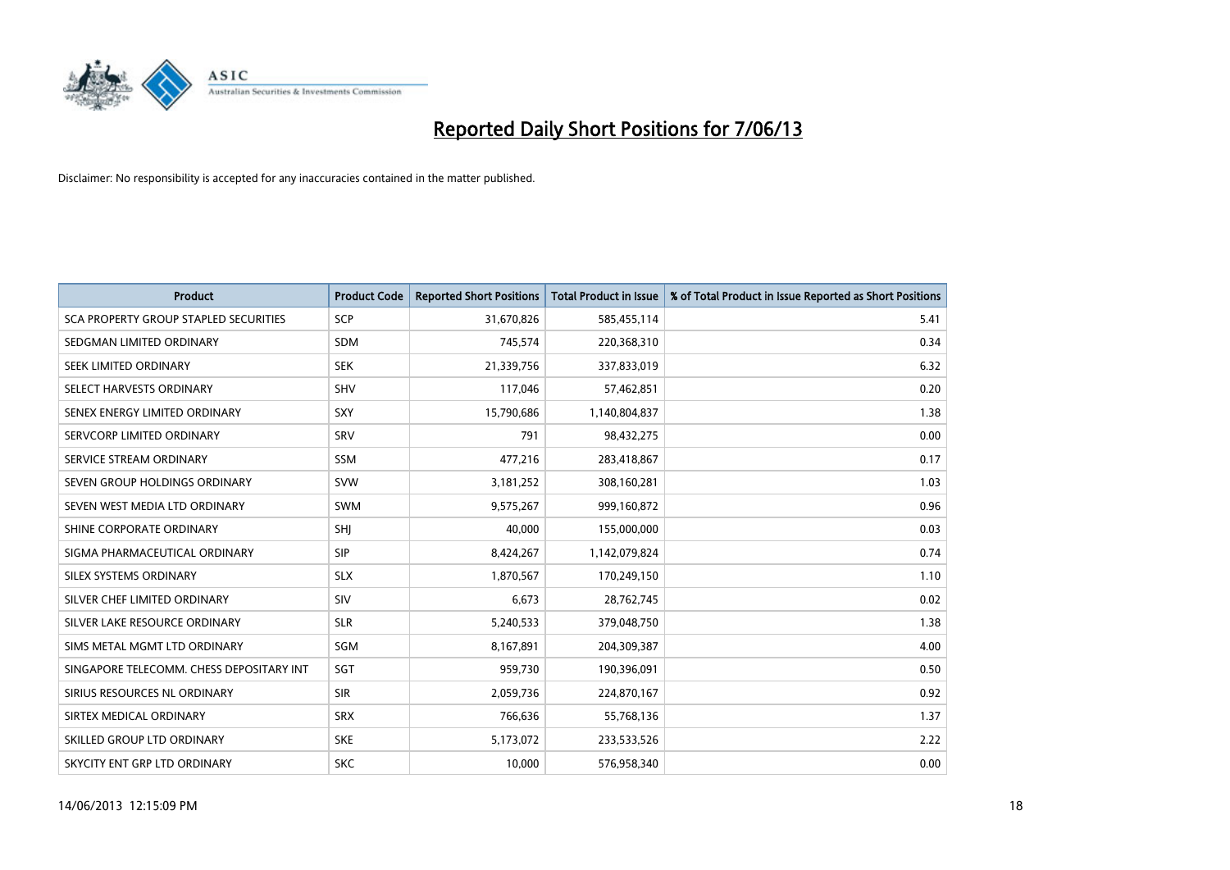

| <b>Product</b>                           | <b>Product Code</b> | <b>Reported Short Positions</b> | <b>Total Product in Issue</b> | % of Total Product in Issue Reported as Short Positions |
|------------------------------------------|---------------------|---------------------------------|-------------------------------|---------------------------------------------------------|
| SCA PROPERTY GROUP STAPLED SECURITIES    | <b>SCP</b>          | 31,670,826                      | 585,455,114                   | 5.41                                                    |
| SEDGMAN LIMITED ORDINARY                 | <b>SDM</b>          | 745,574                         | 220,368,310                   | 0.34                                                    |
| SEEK LIMITED ORDINARY                    | <b>SEK</b>          | 21,339,756                      | 337,833,019                   | 6.32                                                    |
| SELECT HARVESTS ORDINARY                 | <b>SHV</b>          | 117,046                         | 57,462,851                    | 0.20                                                    |
| SENEX ENERGY LIMITED ORDINARY            | <b>SXY</b>          | 15,790,686                      | 1,140,804,837                 | 1.38                                                    |
| SERVCORP LIMITED ORDINARY                | SRV                 | 791                             | 98,432,275                    | 0.00                                                    |
| SERVICE STREAM ORDINARY                  | SSM                 | 477,216                         | 283,418,867                   | 0.17                                                    |
| SEVEN GROUP HOLDINGS ORDINARY            | <b>SVW</b>          | 3,181,252                       | 308,160,281                   | 1.03                                                    |
| SEVEN WEST MEDIA LTD ORDINARY            | <b>SWM</b>          | 9,575,267                       | 999,160,872                   | 0.96                                                    |
| SHINE CORPORATE ORDINARY                 | SHI                 | 40,000                          | 155,000,000                   | 0.03                                                    |
| SIGMA PHARMACEUTICAL ORDINARY            | <b>SIP</b>          | 8,424,267                       | 1,142,079,824                 | 0.74                                                    |
| SILEX SYSTEMS ORDINARY                   | <b>SLX</b>          | 1,870,567                       | 170,249,150                   | 1.10                                                    |
| SILVER CHEF LIMITED ORDINARY             | <b>SIV</b>          | 6,673                           | 28,762,745                    | 0.02                                                    |
| SILVER LAKE RESOURCE ORDINARY            | <b>SLR</b>          | 5,240,533                       | 379,048,750                   | 1.38                                                    |
| SIMS METAL MGMT LTD ORDINARY             | SGM                 | 8,167,891                       | 204,309,387                   | 4.00                                                    |
| SINGAPORE TELECOMM. CHESS DEPOSITARY INT | SGT                 | 959,730                         | 190,396,091                   | 0.50                                                    |
| SIRIUS RESOURCES NL ORDINARY             | <b>SIR</b>          | 2,059,736                       | 224,870,167                   | 0.92                                                    |
| SIRTEX MEDICAL ORDINARY                  | <b>SRX</b>          | 766,636                         | 55,768,136                    | 1.37                                                    |
| SKILLED GROUP LTD ORDINARY               | <b>SKE</b>          | 5,173,072                       | 233,533,526                   | 2.22                                                    |
| SKYCITY ENT GRP LTD ORDINARY             | <b>SKC</b>          | 10,000                          | 576,958,340                   | 0.00                                                    |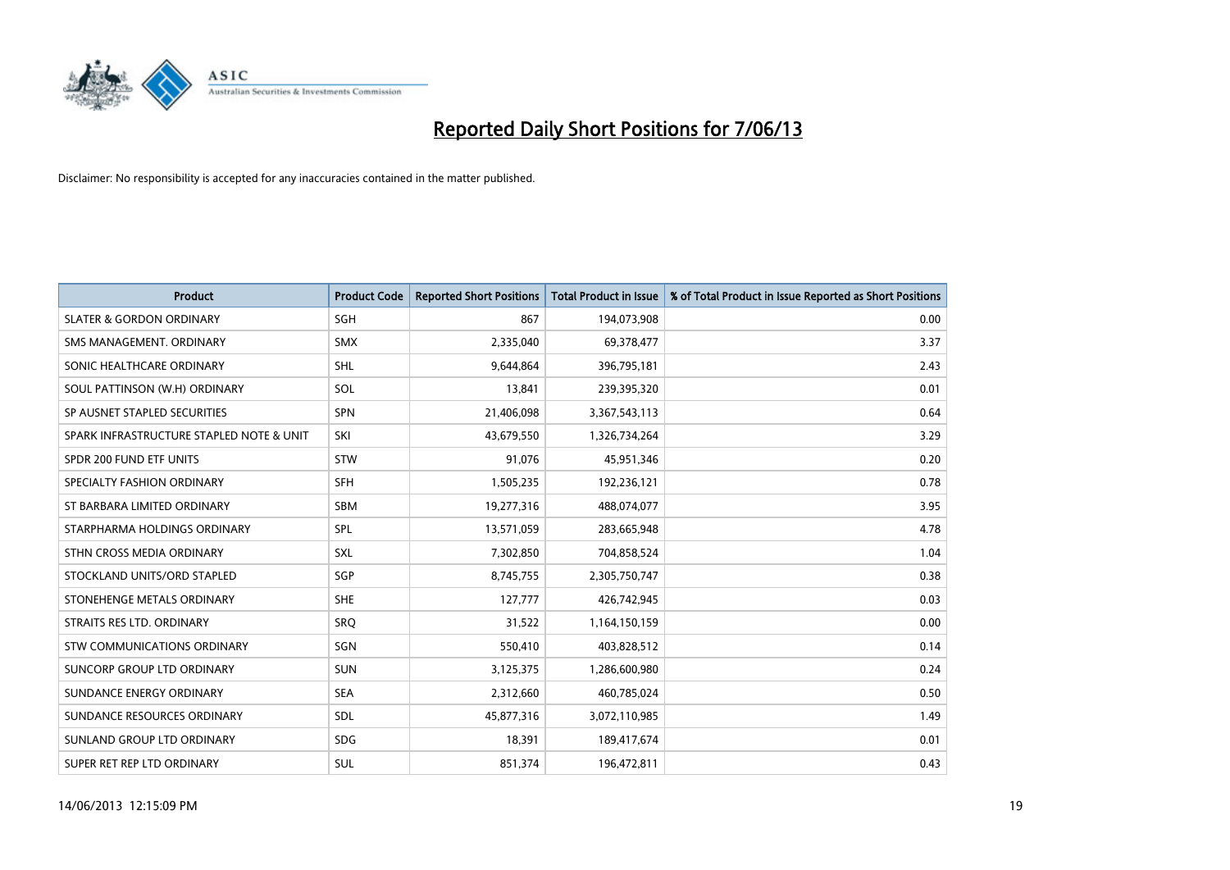

| <b>Product</b>                           | <b>Product Code</b> | <b>Reported Short Positions</b> | <b>Total Product in Issue</b> | % of Total Product in Issue Reported as Short Positions |
|------------------------------------------|---------------------|---------------------------------|-------------------------------|---------------------------------------------------------|
| <b>SLATER &amp; GORDON ORDINARY</b>      | SGH                 | 867                             | 194,073,908                   | 0.00                                                    |
| SMS MANAGEMENT, ORDINARY                 | <b>SMX</b>          | 2,335,040                       | 69,378,477                    | 3.37                                                    |
| SONIC HEALTHCARE ORDINARY                | <b>SHL</b>          | 9,644,864                       | 396,795,181                   | 2.43                                                    |
| SOUL PATTINSON (W.H) ORDINARY            | SOL                 | 13,841                          | 239,395,320                   | 0.01                                                    |
| SP AUSNET STAPLED SECURITIES             | <b>SPN</b>          | 21,406,098                      | 3,367,543,113                 | 0.64                                                    |
| SPARK INFRASTRUCTURE STAPLED NOTE & UNIT | SKI                 | 43,679,550                      | 1,326,734,264                 | 3.29                                                    |
| SPDR 200 FUND ETF UNITS                  | <b>STW</b>          | 91,076                          | 45,951,346                    | 0.20                                                    |
| SPECIALTY FASHION ORDINARY               | <b>SFH</b>          | 1,505,235                       | 192,236,121                   | 0.78                                                    |
| ST BARBARA LIMITED ORDINARY              | SBM                 | 19,277,316                      | 488,074,077                   | 3.95                                                    |
| STARPHARMA HOLDINGS ORDINARY             | SPL                 | 13,571,059                      | 283,665,948                   | 4.78                                                    |
| STHN CROSS MEDIA ORDINARY                | <b>SXL</b>          | 7,302,850                       | 704,858,524                   | 1.04                                                    |
| STOCKLAND UNITS/ORD STAPLED              | SGP                 | 8,745,755                       | 2,305,750,747                 | 0.38                                                    |
| STONEHENGE METALS ORDINARY               | <b>SHE</b>          | 127,777                         | 426,742,945                   | 0.03                                                    |
| STRAITS RES LTD. ORDINARY                | SRQ                 | 31,522                          | 1,164,150,159                 | 0.00                                                    |
| STW COMMUNICATIONS ORDINARY              | SGN                 | 550,410                         | 403,828,512                   | 0.14                                                    |
| SUNCORP GROUP LTD ORDINARY               | <b>SUN</b>          | 3,125,375                       | 1,286,600,980                 | 0.24                                                    |
| SUNDANCE ENERGY ORDINARY                 | <b>SEA</b>          | 2,312,660                       | 460,785,024                   | 0.50                                                    |
| SUNDANCE RESOURCES ORDINARY              | SDL                 | 45,877,316                      | 3,072,110,985                 | 1.49                                                    |
| SUNLAND GROUP LTD ORDINARY               | <b>SDG</b>          | 18,391                          | 189,417,674                   | 0.01                                                    |
| SUPER RET REP LTD ORDINARY               | <b>SUL</b>          | 851,374                         | 196,472,811                   | 0.43                                                    |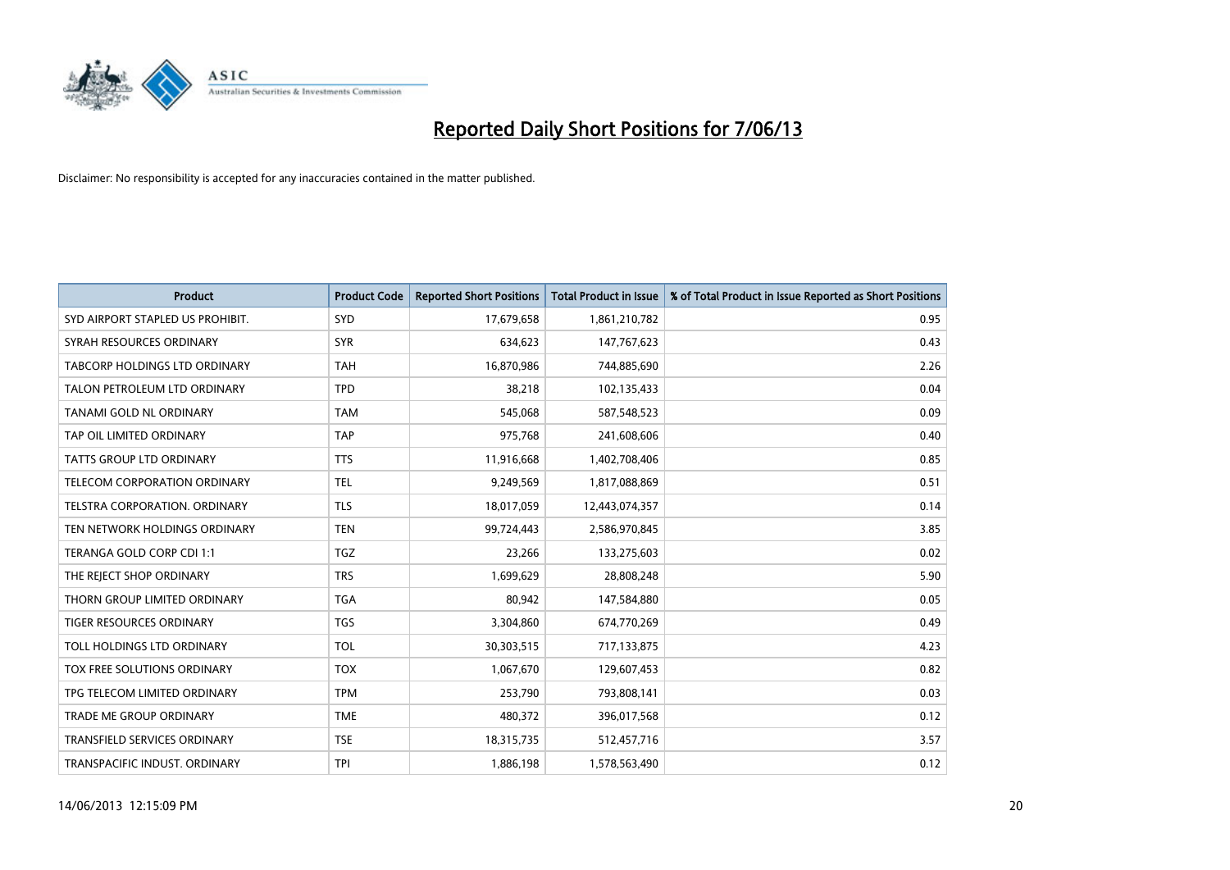

| <b>Product</b>                       | <b>Product Code</b> | <b>Reported Short Positions</b> | <b>Total Product in Issue</b> | % of Total Product in Issue Reported as Short Positions |
|--------------------------------------|---------------------|---------------------------------|-------------------------------|---------------------------------------------------------|
| SYD AIRPORT STAPLED US PROHIBIT.     | <b>SYD</b>          | 17,679,658                      | 1,861,210,782                 | 0.95                                                    |
| SYRAH RESOURCES ORDINARY             | <b>SYR</b>          | 634,623                         | 147,767,623                   | 0.43                                                    |
| <b>TABCORP HOLDINGS LTD ORDINARY</b> | <b>TAH</b>          | 16,870,986                      | 744,885,690                   | 2.26                                                    |
| TALON PETROLEUM LTD ORDINARY         | <b>TPD</b>          | 38,218                          | 102,135,433                   | 0.04                                                    |
| TANAMI GOLD NL ORDINARY              | <b>TAM</b>          | 545,068                         | 587,548,523                   | 0.09                                                    |
| TAP OIL LIMITED ORDINARY             | <b>TAP</b>          | 975,768                         | 241,608,606                   | 0.40                                                    |
| <b>TATTS GROUP LTD ORDINARY</b>      | <b>TTS</b>          | 11,916,668                      | 1,402,708,406                 | 0.85                                                    |
| TELECOM CORPORATION ORDINARY         | <b>TEL</b>          | 9,249,569                       | 1,817,088,869                 | 0.51                                                    |
| TELSTRA CORPORATION. ORDINARY        | <b>TLS</b>          | 18,017,059                      | 12,443,074,357                | 0.14                                                    |
| TEN NETWORK HOLDINGS ORDINARY        | <b>TEN</b>          | 99,724,443                      | 2,586,970,845                 | 3.85                                                    |
| TERANGA GOLD CORP CDI 1:1            | <b>TGZ</b>          | 23,266                          | 133,275,603                   | 0.02                                                    |
| THE REJECT SHOP ORDINARY             | <b>TRS</b>          | 1,699,629                       | 28,808,248                    | 5.90                                                    |
| THORN GROUP LIMITED ORDINARY         | <b>TGA</b>          | 80,942                          | 147,584,880                   | 0.05                                                    |
| <b>TIGER RESOURCES ORDINARY</b>      | <b>TGS</b>          | 3,304,860                       | 674,770,269                   | 0.49                                                    |
| TOLL HOLDINGS LTD ORDINARY           | <b>TOL</b>          | 30,303,515                      | 717,133,875                   | 4.23                                                    |
| TOX FREE SOLUTIONS ORDINARY          | <b>TOX</b>          | 1,067,670                       | 129,607,453                   | 0.82                                                    |
| TPG TELECOM LIMITED ORDINARY         | <b>TPM</b>          | 253,790                         | 793,808,141                   | 0.03                                                    |
| TRADE ME GROUP ORDINARY              | <b>TME</b>          | 480,372                         | 396,017,568                   | 0.12                                                    |
| <b>TRANSFIELD SERVICES ORDINARY</b>  | <b>TSE</b>          | 18,315,735                      | 512,457,716                   | 3.57                                                    |
| TRANSPACIFIC INDUST. ORDINARY        | <b>TPI</b>          | 1,886,198                       | 1,578,563,490                 | 0.12                                                    |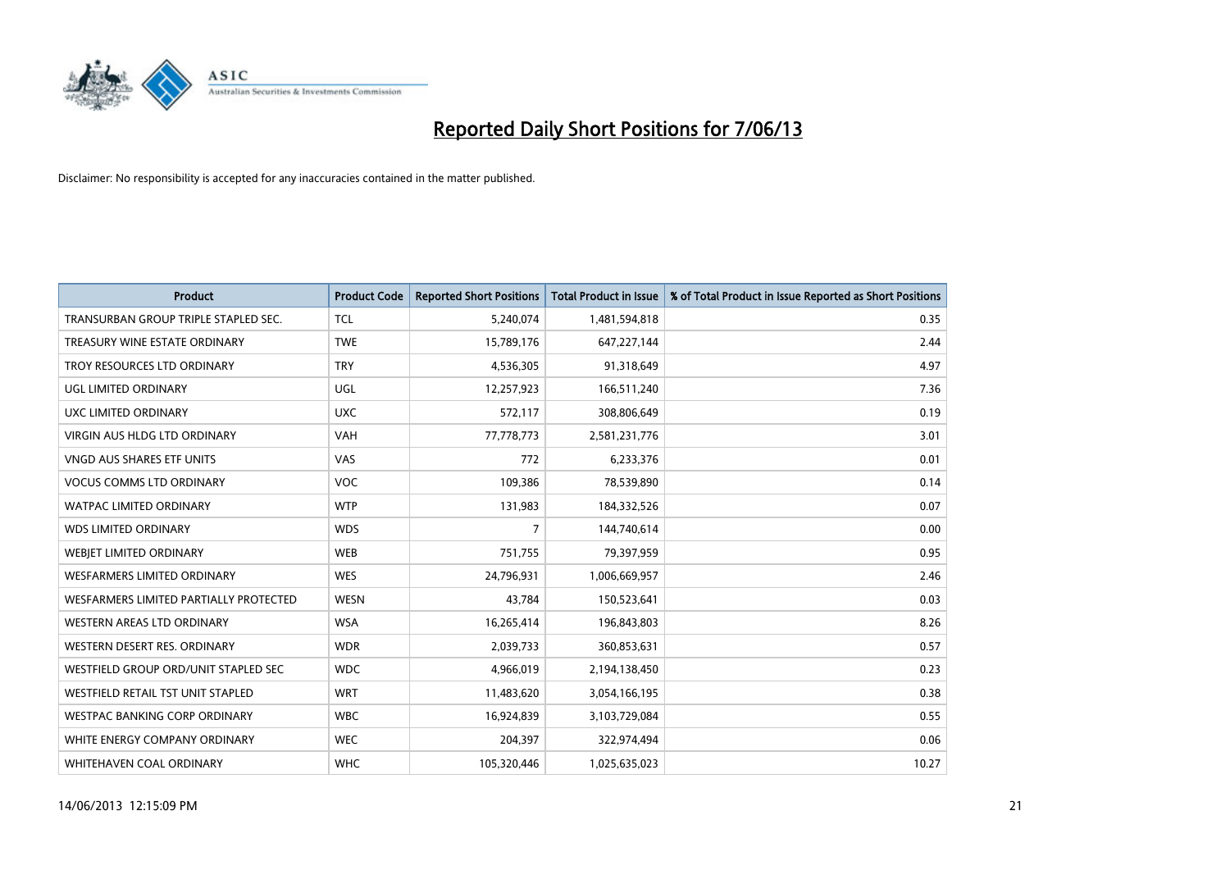

| <b>Product</b>                         | <b>Product Code</b> | <b>Reported Short Positions</b> | <b>Total Product in Issue</b> | % of Total Product in Issue Reported as Short Positions |
|----------------------------------------|---------------------|---------------------------------|-------------------------------|---------------------------------------------------------|
| TRANSURBAN GROUP TRIPLE STAPLED SEC.   | <b>TCL</b>          | 5,240,074                       | 1,481,594,818                 | 0.35                                                    |
| TREASURY WINE ESTATE ORDINARY          | <b>TWE</b>          | 15,789,176                      | 647,227,144                   | 2.44                                                    |
| TROY RESOURCES LTD ORDINARY            | <b>TRY</b>          | 4,536,305                       | 91,318,649                    | 4.97                                                    |
| <b>UGL LIMITED ORDINARY</b>            | UGL                 | 12,257,923                      | 166,511,240                   | 7.36                                                    |
| <b>UXC LIMITED ORDINARY</b>            | <b>UXC</b>          | 572,117                         | 308,806,649                   | 0.19                                                    |
| <b>VIRGIN AUS HLDG LTD ORDINARY</b>    | <b>VAH</b>          | 77,778,773                      | 2,581,231,776                 | 3.01                                                    |
| VNGD AUS SHARES ETF UNITS              | VAS                 | 772                             | 6,233,376                     | 0.01                                                    |
| <b>VOCUS COMMS LTD ORDINARY</b>        | <b>VOC</b>          | 109,386                         | 78,539,890                    | 0.14                                                    |
| <b>WATPAC LIMITED ORDINARY</b>         | <b>WTP</b>          | 131,983                         | 184,332,526                   | 0.07                                                    |
| <b>WDS LIMITED ORDINARY</b>            | <b>WDS</b>          | $\overline{7}$                  | 144,740,614                   | 0.00                                                    |
| WEBJET LIMITED ORDINARY                | <b>WEB</b>          | 751,755                         | 79,397,959                    | 0.95                                                    |
| <b>WESFARMERS LIMITED ORDINARY</b>     | <b>WES</b>          | 24,796,931                      | 1,006,669,957                 | 2.46                                                    |
| WESFARMERS LIMITED PARTIALLY PROTECTED | <b>WESN</b>         | 43,784                          | 150,523,641                   | 0.03                                                    |
| WESTERN AREAS LTD ORDINARY             | <b>WSA</b>          | 16,265,414                      | 196,843,803                   | 8.26                                                    |
| WESTERN DESERT RES. ORDINARY           | <b>WDR</b>          | 2,039,733                       | 360,853,631                   | 0.57                                                    |
| WESTFIELD GROUP ORD/UNIT STAPLED SEC   | <b>WDC</b>          | 4,966,019                       | 2,194,138,450                 | 0.23                                                    |
| WESTFIELD RETAIL TST UNIT STAPLED      | <b>WRT</b>          | 11,483,620                      | 3,054,166,195                 | 0.38                                                    |
| <b>WESTPAC BANKING CORP ORDINARY</b>   | <b>WBC</b>          | 16,924,839                      | 3,103,729,084                 | 0.55                                                    |
| WHITE ENERGY COMPANY ORDINARY          | <b>WEC</b>          | 204,397                         | 322,974,494                   | 0.06                                                    |
| WHITEHAVEN COAL ORDINARY               | <b>WHC</b>          | 105,320,446                     | 1,025,635,023                 | 10.27                                                   |